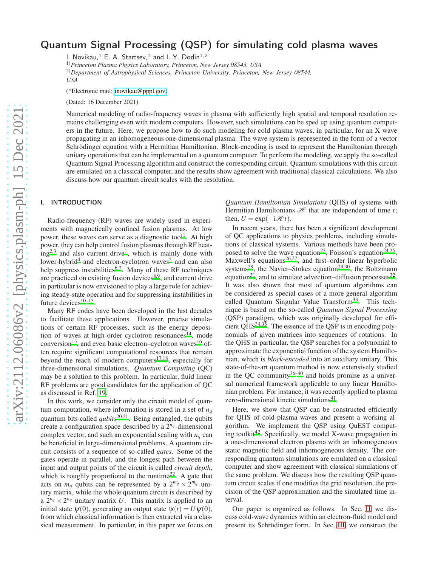# Quantum Signal Processing (QSP) for simulating cold plasma waves

I. Novikau, $^1$  E. A. Startsev, $^1$  and I. Y. Dodin $^{1, 2}$ 

1)*Princeton Plasma Physics Laboratory, Princeton, New Jersey 08543, USA*

2)*Department of Astrophysical Sciences, Princeton University, Princeton, New Jersey 08544, USA*

(\*Electronic mail: [inovikau@pppl.gov\)](mailto:inovikau@pppl.gov)

(Dated: 16 December 2021)

Numerical modeling of radio-frequency waves in plasma with sufficiently high spatial and temporal resolution remains challenging even with modern computers. However, such simulations can be sped up using quantum computers in the future. Here, we propose how to do such modeling for cold plasma waves, in particular, for an X wave propagating in an inhomogeneous one-dimensional plasma. The wave system is represented in the form of a vector Schrödinger equation with a Hermitian Hamiltonian. Block-encoding is used to represent the Hamiltonian through unitary operations that can be implemented on a quantum computer. To perform the modeling, we apply the so-called Quantum Signal Processing algorithm and construct the corresponding circuit. Quantum simulations with this circuit are emulated on a classical computer, and the results show agreement with traditional classical calculations. We also discuss how our quantum circuit scales with the resolution.

## I. INTRODUCTION

Radio-frequency (RF) waves are widely used in experiments with magnetically confined fusion plasmas. At low power, these waves can serve as a diagnostic tool<sup>[1](#page-14-0)</sup>. At high power, they can help control fusion plasmas through RF heat- $ing^{2,3}$  $ing^{2,3}$  $ing^{2,3}$  $ing^{2,3}$  and also current drive<sup>[1](#page-14-0)</sup>, which is mainly done with lower-hybrid<sup>[4](#page-15-0)</sup> and electron-cyclotron waves<sup>[5](#page-15-1)</sup> and can also help suppress instabilities<sup>[6](#page-15-2)[,7](#page-15-3)</sup>. Many of these RF techniques are practiced on existing fusion devices<sup>[8](#page-15-4)[,9](#page-15-5)</sup>, and current drive in particular is now envisioned to play a large role for achieving steady-state operation and for suppressing instabilities in future devices  $10-13$  $10-13$ .

Many RF codes have been developed in the last decades to facilitate these applications. However, precise simulations of certain RF processes, such as the energy deposi-tion of waves at high-order cyclotron resonances<sup>[14](#page-15-8)</sup>, mode conversion<sup>[15](#page-15-9)</sup>, and even basic electron–cyclotron waves<sup>[16](#page-15-10)</sup> often require significant computational resources that remain beyond the reach of modern computers $17,18$  $17,18$ , especially for three-dimensional simulations. *Quantum Computing* (QC) may be a solution to this problem. In particular, fluid linear RF problems are good candidates for the application of QC as discussed in Ref. [19.](#page-15-13)

In this work, we consider only the circuit model of quantum computation, where information is stored in a set of  $n_q$ quantum bits called *qubits*<sup>[20](#page-15-14)[,21](#page-15-15)</sup>. Being entangled, the qubits create a configuration space described by a  $2^{n_q}$ -dimensional complex vector, and such an exponential scaling with  $n<sub>q</sub>$  can be beneficial in large-dimensional problems. A quantum circuit consists of a sequence of so-called *gates*. Some of the gates operate in parallel, and the longest path between the input and output points of the circuit is called *circuit depth*, which is roughly proportional to the runtime<sup>[22](#page-15-16)</sup>. A gate that acts on  $m_q$  qubits can be represented by a  $2^{m_q} \times 2^{m_q}$  unitary matrix, while the whole quantum circuit is described by a  $2^{n_q} \times 2^{n_q}$  unitary matrix *U*. This matrix is applied to an initial state  $\psi(0)$ , generating an output state  $\psi(t) = U \psi(0)$ , from which classical information is then extracted via a classical measurement. In particular, in this paper we focus on *Quantum Hamiltonian Simulations* (QHS) of systems with Hermitian Hamiltonians  $H$  that are independent of time *t*; then,  $U = \exp(-i\mathcal{H}t)$ .

In recent years, there has been a significant development of QC applications to physics problems, including simulations of classical systems. Various methods have been pro-posed to solve the wave equation<sup>[23](#page-15-17)</sup>, Poisson's equation<sup>[24](#page-15-18)[,25](#page-15-19)</sup>, Maxwell's equations<sup>[26](#page-15-20)[,27](#page-15-21)</sup>, and first–order linear hyperbolic systems<sup>[28](#page-15-22)</sup>, the Navier–Stokes equation<sup>[29](#page-15-23)[,30](#page-15-24)</sup>, the Boltzmann equation<sup>[31](#page-15-25)</sup>, and to simulate advection–diffusion processes<sup>[32](#page-15-26)</sup>. It was also shown that most of quantum algorithms can be considered as special cases of a more general algorithm called Quantum Singular Value Transform<sup>[33](#page-15-27)</sup>. This technique is based on the so-called *Quantum Signal Processing* (QSP) paradigm, which was originally developed for efficient QHS $^{34,35}$  $^{34,35}$  $^{34,35}$  $^{34,35}$ . The essence of the QSP is in encoding polynomials of given matrices into sequences of rotations. In the QHS in particular, the QSP searches for a polynomial to approximate the exponential function of the system Hamiltonian, which is *block-encoded* into an auxiliary unitary. This state-of-the-art quantum method is now extensively studied in the QC community $36-40$  $36-40$  and holds promise as a universal numerical framework applicable to any linear Hamiltonian problem. For instance, it was recently applied to plasma zero-dimensional kinetic simulations<sup>[41](#page-15-32)</sup>.

Here, we show that QSP can be constructed efficiently for QHS of cold-plasma waves and present a working algorithm. We implement the QSP using QuEST comput-ing toolkit<sup>[42](#page-15-33)</sup>. Specifically, we model X-wave propagation in a one-dimensional electron plasma with an inhomogeneous static magnetic field and inhomogeneous density. The corresponding quantum simulations are emulated on a classical computer and show agreement with classical simulations of the same problem. We discuss how the resulting QSP quantum circuit scales if one modifies the grid resolution, the precision of the QSP approximation and the simulated time interval.

Our paper is organized as follows. In Sec. [II,](#page-1-0) we discuss cold-wave dynamics within an electron-fluid model and present its Schrödinger form. In Sec. [III,](#page-1-1) we construct the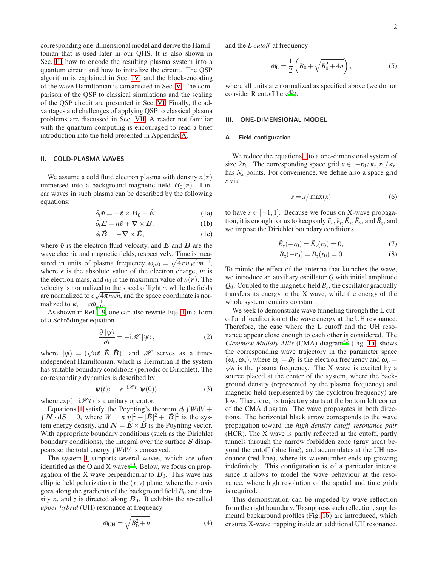corresponding one-dimensional model and derive the Hamiltonian that is used later in our QHS. It is also shown in Sec. [III](#page-1-1) how to encode the resulting plasma system into a quantum circuit and how to initialize the circuit. The QSP algorithm is explained in Sec. [IV,](#page-4-0) and the block-encoding of the wave Hamiltonian is constructed in Sec. [V.](#page-6-0) The comparison of the QSP to classical simulations and the scaling of the QSP circuit are presented in Sec. [VI.](#page-10-0) Finally, the advantages and challenges of applying QSP to classical plasma problems are discussed in Sec. [VII.](#page-12-0) A reader not familiar with the quantum computing is encouraged to read a brief introduction into the field presented in Appendix [A.](#page-13-0)

#### <span id="page-1-0"></span>II. COLD-PLASMA WAVES

We assume a cold fluid electron plasma with density  $n(r)$ immersed into a background magnetic field  $B_0(r)$ . Linear waves in such plasma can be described by the following equations:

<span id="page-1-2"></span>
$$
\partial_t \tilde{v} = -\tilde{v} \times B_0 - \tilde{E}, \qquad (1a)
$$

$$
\partial_t \tilde{E} = n\tilde{v} + \nabla \times \tilde{B}, \qquad (1b)
$$

$$
\partial_t \tilde{B} = -\nabla \times \tilde{E}, \qquad (1c)
$$

where  $\tilde{v}$  is the electron fluid velocity, and  $\tilde{E}$  and  $\tilde{B}$  are the wave electric and magnetic fields, respectively. Time is measured in units of plasma frequency  $\omega_{p,0} = \sqrt{4\pi n_0 e^2 m^{-1}}$ , where *e* is the absolute value of the electron charge, *m* is the electron mass, and  $n_0$  is the maximum value of  $n(r)$ . The velocity is normalized to the speed of light *c*, while the fields are normalized to  $c\sqrt{4\pi n_0 m}$ , and the space coordinate is normalized to  $\kappa_x = c\omega_{p,0}^{-1}$ .

As shown in Ref. [19](#page-15-13), one can also rewrite Eqs. [1](#page-1-2) in a form of a Schrödinger equation

<span id="page-1-3"></span>
$$
\frac{\partial |\psi\rangle}{\partial t} = -\mathrm{i}\mathscr{H}|\psi\rangle, \qquad (2)
$$

where  $|\psi\rangle = (\sqrt{n}\tilde{v}, \tilde{E}, \tilde{B})$ , and *H* serves as a timeindependent Hamiltonian, which is Hermitian if the system has suitable boundary conditions (periodic or Dirichlet). The corresponding dynamics is described by

$$
|\psi(t)\rangle = e^{-i\mathscr{H}t} |\psi(0)\rangle, \qquad (3)
$$

where  $\exp(-i\mathcal{H}t)$  is a unitary operator.

Equations [1](#page-1-2) satisfy the Poynting's theorem  $\partial_t \int W dV$  +  $\int \mathbf{N} \cdot d\mathbf{S} = 0$ , where  $W = n|\tilde{v}|^2 + |\tilde{E}|^2 + |\tilde{B}|^2$  is the system energy density, and  $N = \tilde{E} \times \tilde{B}$  is the Poynting vector. With appropriate boundary conditions (such as the Dirichlet boundary conditions), the integral over the surface  $S$  disappears so the total energy  $\int W dV$  is conserved.

The system [1](#page-1-2) supports several waves, which are often identified as the O and X waves<sup>[43](#page-15-34)</sup>. Below, we focus on propagation of the X wave perpendicular to  $B_0$ . This wave has elliptic field polarization in the  $(x, y)$  plane, where the *x*-axis goes along the gradients of the background field  $B_0$  and density  $n$ , and  $z$  is directed along  $B_0$ . It exhibits the so-called *upper-hybrid* (UH) resonance at frequency

$$
\omega_{\text{UH}} = \sqrt{B_0^2 + n} \tag{4}
$$

and the *L cutoff* at frequency

$$
\omega_{\rm L} = \frac{1}{2} \left( B_0 + \sqrt{B_0^2 + 4n} \right), \tag{5}
$$

where all units are normalized as specified above (we do not consider R cutoff here $43$ ).

## <span id="page-1-1"></span>III. ONE-DIMENSIONAL MODEL

## Field configuration

We reduce the equations [1](#page-1-2) to a one-dimensional system of size 2 $r_0$ . The corresponding space grid  $x \in \left[-r_0/\kappa_x, r_0/\kappa_x\right]$ has  $N<sub>x</sub>$  points. For convenience, we define also a space grid *s* via

$$
s = x / \max(x) \tag{6}
$$

to have  $s \in [-1,1]$ . Because we focus on X-wave propagation, it is enough for us to keep only  $\tilde{v}_x$ ,  $\tilde{v}_y$ ,  $\tilde{E}_x$ ,  $\tilde{E}_y$ , and  $\tilde{B}_z$ , and we impose the Dirichlet boundary conditions

$$
\tilde{E}_y(-r_0) = \tilde{E}_y(r_0) = 0,
$$
\n(7)

$$
\tilde{B}_z(-r_0) = \tilde{B}_z(r_0) = 0.
$$
\n(8)

To mimic the effect of the antenna that launches the wave, we introduce an auxiliary oscillator *Q* with initial amplitude  $Q_0$ . Coupled to the magnetic field  $\tilde{B}_z$ , the oscillator gradually transfers its energy to the X wave, while the energy of the whole system remains constant.

We seek to demonstrate wave tunneling through the L cutoff and localization of the wave energy at the UH resonance. Therefore, the case where the L cutoff and the UH resonance appear close enough to each other is considered. The *Clemmow-Mullaly-Allis* (CMA) diagram<sup>[43](#page-15-34)</sup> (Fig. [1a\)](#page-2-0) shows the corresponding wave trajectory in the parameter space  $(\omega_c, \omega_p)$ , where  $\omega_c = B_0$  is the electron frequency and  $\omega_p = \omega_c$  $\sqrt{n}$  is the plasma frequency. The X wave is excited by a source placed at the center of the system, where the background density (represented by the plasma frequency) and magnetic field (represented by the cyclotron frequency) are low. Therefore, its trajectory starts at the bottom left corner of the CMA diagram. The wave propagates in both directions. The horizontal black arrow corresponds to the wave propagation toward the *high-density cutoff–resonance pair* (HCR). The X wave is partly reflected at the cutoff, partly tunnels through the narrow forbidden zone (gray area) beyond the cutoff (blue line), and accumulates at the UH resonance (red line), where its wavenumber ends up growing indefinitely. This configuration is of a particular interest since it allows to model the wave behaviour at the resonance, where high resolution of the spatial and time grids is required.

This demonstration can be impeded by wave reflection from the right boundary. To suppress such reflection, supplemental background profiles (Fig. [1b\)](#page-2-1) are introduced, which ensures X-wave trapping inside an additional UH resonance.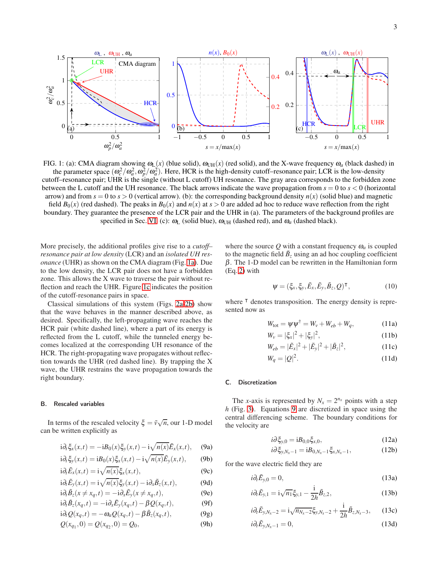<span id="page-2-0"></span>

FIG. 1: (a): CMA diagram showing  $\omega_L(x)$  (blue solid),  $\omega_{UH}(x)$  (red solid), and the X-wave frequency  $\omega_a$  (black dashed) in the parameter space  $(\omega_c^2/\omega_a^2, \omega_p^2/\omega_a^2)$ . Here, HCR is the high-density cutoff–resonance pair; LCR is the low-density cutoff–resonance pair; UHR is the single (without L cutoff) UH resonance. The gray area corresponds to the forbidden zone between the L cutoff and the UH resonance. The black arrows indicate the wave propagation from *s* = 0 to *s* < 0 (horizontal arrow) and from  $s = 0$  to  $s > 0$  (vertical arrow). (b): the corresponding background density  $n(x)$  (solid blue) and magnetic

field  $B_0(x)$  (red dashed). The peaks in  $B_0(x)$  and  $n(x)$  at  $s > 0$  are added ad hoc to reduce wave reflection from the right boundary. They guarantee the presence of the LCR pair and the UHR in (a). The parameters of the background profiles are specified in Sec. [VI.](#page-10-0) (c):  $\omega_L$  (solid blue),  $\omega_{UH}$  (dashed red), and  $\omega_a$  (dashed black).

More precisely, the additional profiles give rise to a *cutoff– resonance pair at low density* (LCR) and an *isolated UH resonance* (UHR) as shown on the CMA diagram (Fig. [1a\)](#page-2-0). Due to the low density, the LCR pair does not have a forbidden zone. This allows the X wave to traverse the pair without reflection and reach the UHR. Figure [1c](#page-2-2) indicates the position of the cutoff-resonance pairs in space.

Classical simulations of this system (Figs. [2a-](#page-3-0)[2b\)](#page-3-1) show that the wave behaves in the manner described above, as desired. Specifically, the left-propagating wave reaches the HCR pair (white dashed line), where a part of its energy is reflected from the L cutoff, while the tunneled energy becomes localized at the corresponding UH resonance of the HCR. The right-propagating wave propagates without reflection towards the UHR (red dashed line). By trapping the X wave, the UHR restrains the wave propagation towards the right boundary.

#### B. Rescaled variables

In terms of the rescaled velocity  $\xi = \tilde{v}\sqrt{n}$ , our 1-D model can be written explicitly as

<span id="page-2-4"></span><span id="page-2-3"></span>
$$
i\partial_t \xi_x(x,t) = -iB_0(x)\xi_y(x,t) - i\sqrt{n(x)}\tilde{E}_x(x,t), \quad (9a)
$$

$$
i\partial_t \xi_y(x,t) = iB_0(x)\xi_x(x,t) - i\sqrt{n(x)}\tilde{E}_y(x,t),\qquad(9b)
$$

$$
i\partial_t \tilde{E}_x(x,t) = i\sqrt{n(x)}\xi_x(x,t),\tag{9c}
$$

$$
i\partial_t \tilde{E}_y(x,t) = i\sqrt{n(x)}\xi_y(x,t) - i\partial_x \tilde{B}_z(x,t),
$$
 (9d)

$$
i\partial_t \tilde{B}_z(x \neq x_q, t) = -i\partial_x \tilde{E}_y(x \neq x_q, t),
$$
(9e)  

$$
i \partial_t \tilde{B}_z(x, t) = -i\partial_x \tilde{E}_y(x \neq x_q, t),
$$
(9f)

$$
i\partial_t \tilde{B}_z(x_q, t) = -i\partial_x \tilde{E}_y(x_q, t) - \beta Q(x_q, t),
$$
 (9f)

$$
i\partial_t Q(x_q, t) = -\omega_a Q(x_q, t) - \beta \tilde{B}_z(x_q, t), \qquad (9g)
$$

$$
Q(x_{q_1}, 0) = Q(x_{q_2}, 0) = Q_0,
$$
\n(9h)

<span id="page-2-2"></span><span id="page-2-1"></span>where the source  $Q$  with a constant frequency  $\omega_a$  is coupled to the magnetic field  $\tilde{B}_z$  using an ad hoc coupling coefficient  $β$ . The 1-D model can be rewritten in the Hamiltonian form (Eq. [2\)](#page-1-3) with

<span id="page-2-6"></span>
$$
\psi = (\xi_x, \xi_y, \tilde{E}_x, \tilde{E}_y, \tilde{B}_z, Q)^\mathsf{T}, \tag{10}
$$

where <sup>⊺</sup> denotes transposition. The energy density is represented now as

<span id="page-2-5"></span>
$$
W_{\text{tot}} = \psi \psi^{\dagger} = W_{\nu} + W_{eb} + W_q, \qquad (11a)
$$

$$
W_{\nu} = |\xi_x|^2 + |\xi_y|^2, \tag{11b}
$$

$$
W_{eb} = |\tilde{E}_x|^2 + |\tilde{E}_y|^2 + |\tilde{B}_z|^2, \tag{11c}
$$

$$
W_q = |Q|^2. \tag{11d}
$$

## C. Discretization

The *x*-axis is represented by  $N_x = 2^{n_x}$  points with a step *h* (Fig. [3\)](#page-3-2). Equations [9](#page-2-3) are discretized in space using the central differencing scheme. The boundary conditions for the velocity are

$$
i\partial \xi_{y,0} = iB_{0,0}\xi_{x,0},\tag{12a}
$$

$$
i\partial \xi_{y,N_x-1} = iB_{0,N_x-1}\xi_{x,N_x-1}, \qquad (12b)
$$

for the wave electric field they are

$$
i\partial_t \tilde{E}_{y,0} = 0,\t\t(13a)
$$

$$
i\partial_t \tilde{E}_{y,1} = i\sqrt{n_1} \xi_{y,1} - \frac{i}{2h} \tilde{B}_{z,2},
$$
 (13b)

$$
i\partial_t \tilde{E}_{y,N_x-2} = i\sqrt{n_{N_x-2}}\xi_{y,N_x-2} + \frac{i}{2h}\tilde{B}_{z,N_x-3},\qquad(13c)
$$

$$
i\partial_t \tilde{E}_{y,N_x-1} = 0, \tag{13d}
$$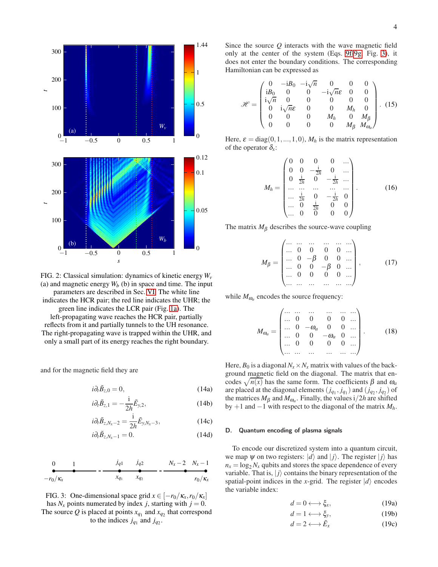<span id="page-3-1"></span><span id="page-3-0"></span>

FIG. 2: Classical simulation: dynamics of kinetic energy *W<sup>v</sup>* (a) and magnetic energy  $W_b$  (b) in space and time. The input parameters are described in Sec. [VI.](#page-10-0) The white line indicates the HCR pair; the red line indicates the UHR; the green line indicates the LCR pair (Fig. [1a\)](#page-2-0). The left-propagating wave reaches the HCR pair, partially reflects from it and partially tunnels to the UH resonance. The right-propagating wave is trapped within the UHR, and only a small part of its energy reaches the right boundary.

and for the magnetic field they are

$$
i\partial_t \tilde{B}_{z,0} = 0, \qquad (14a)
$$

$$
i\partial_t \tilde{B}_{z,1} = -\frac{i}{2h} \tilde{E}_{y,2},\qquad(14b)
$$

$$
i\partial_t \tilde{B}_{z,N_x-2} = \frac{i}{2h} \tilde{E}_{y,N_x-3},
$$
\n(14c)

$$
i\partial_t \tilde{B}_{z,N_x-1} = 0. \tag{14d}
$$

<span id="page-3-2"></span>
$$
\begin{array}{ccccccccc}\n0 & 1 & j_{q1} & j_{q2} & N_x - 2 & N_x - 1 \\
\hline\n-r_0/\kappa_x & x_{q_1} & x_{q_2} & - & - & r_0/\kappa_x\n\end{array}
$$

FIG. 3: One-dimensional space grid  $x \in [-r_0/\kappa_x, r_0/\kappa_x]$ has  $N_x$  points numerated by index *j*, starting with  $j = 0$ . The source Q is placed at points  $x_{q_1}$  and  $x_{q_2}$  that correspond to the indices  $j_{q_1}$  and  $j_{q_2}$ .

Since the source *Q* interacts with the wave magnetic field only at the center of the system (Eqs. [9f-9g,](#page-2-4) Fig. [3\)](#page-3-2), it does not enter the boundary conditions. The corresponding Hamiltonian can be expressed as

<span id="page-3-3"></span>
$$
\mathcal{H} = \begin{pmatrix}\n0 & -iB_0 & -i\sqrt{n} & 0 & 0 & 0 \\
iB_0 & 0 & 0 & -i\sqrt{n}\varepsilon & 0 & 0 \\
i\sqrt{n} & 0 & 0 & 0 & 0 & 0 \\
0 & i\sqrt{n}\varepsilon & 0 & 0 & M_h & 0 \\
0 & 0 & 0 & M_h & 0 & M_\beta \\
0 & 0 & 0 & 0 & M_\beta & M_{\omega_a}\n\end{pmatrix}.
$$
\n(15)

Here,  $\varepsilon = diag(0, 1, \ldots, 1, 0)$ ,  $M_h$  is the matrix representation of the operator  $\delta_x$ :

$$
M_h = \begin{pmatrix} 0 & 0 & 0 & 0 & \dots \\ 0 & 0 & -\frac{i}{2h} & 0 & \dots \\ 0 & \frac{i}{2h} & 0 & -\frac{i}{2h} & \dots \\ \dots & \dots & \dots & \dots & \dots \\ \dots & \frac{i}{2h} & 0 & -\frac{i}{2h} & 0 \\ \dots & 0 & \frac{i}{2h} & 0 & 0 \\ \dots & 0 & 0 & 0 & 0 \end{pmatrix} .
$$
 (16)

The matrix  $M_\beta$  describes the source-wave coupling

$$
M_{\beta} = \begin{pmatrix} \dots & \dots & \dots & \dots & \dots \\ \dots & 0 & 0 & 0 & 0 & \dots \\ \dots & 0 & -\beta & 0 & 0 & \dots \\ \dots & 0 & 0 & -\beta & 0 & \dots \\ \dots & 0 & 0 & 0 & 0 & \dots \\ \dots & \dots & \dots & \dots & \dots & \dots \end{pmatrix}, \quad (17)
$$

while  $M_{\omega_a}$  encodes the source frequency:

$$
M_{\omega_a} = \begin{pmatrix} \dots & \dots & \dots & \dots & \dots \\ \dots & 0 & 0 & 0 & 0 & \dots \\ \dots & 0 & -\omega_a & 0 & 0 & \dots \\ \dots & 0 & 0 & -\omega_a & 0 & \dots \\ \dots & 0 & 0 & 0 & 0 & \dots \\ \dots & \dots & \dots & \dots & \dots & \dots \end{pmatrix} . \tag{18}
$$

Here,  $B_0$  is a diagonal  $N_x \times N_x$  matrix with values of the background magnetic field on the diagonal. The matrix that encodes  $\sqrt{n(x)}$  has the same form. The coefficients  $\beta$  and  $\omega_a$ are placed at the diagonal elements  $(j_{q_1}, j_{q_1})$  and  $(j_{q_2}, j_{q_2})$  of the matrices  $M_{\beta}$  and  $M_{\omega_a}$ . Finally, the values i/2*h* are shifted by +1 and −1 with respect to the diagonal of the matrix *Mh*.

## D. Quantum encoding of plasma signals

To encode our discretized system into a quantum circuit, we map  $\psi$  on two registers:  $|d\rangle$  and  $|j\rangle$ . The register  $|j\rangle$  has  $n_x = \log_2 N_x$  qubits and stores the space dependence of every variable. That is,  $|j\rangle$  contains the binary representation of the spatial-point indices in the *x*-grid. The register  $|d\rangle$  encodes the variable index:

<span id="page-3-4"></span>
$$
d = 0 \longleftrightarrow \xi_x, \tag{19a}
$$

$$
d = 1 \longleftrightarrow \xi_y,\tag{19b}
$$

$$
d = 2 \longleftrightarrow \tilde{E}_x \tag{19c}
$$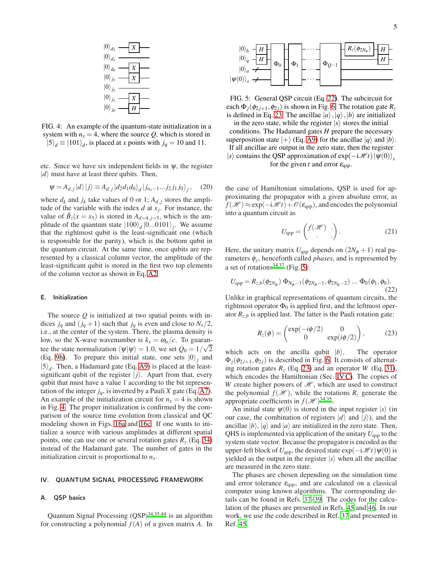<span id="page-4-1"></span>

FIG. 4: An example of the quantum-state initialization in a system with  $n_x = 4$ , where the source Q, which is stored in  $|5\rangle_d \equiv |101\rangle_d$ , is placed at *x* points with  $j_q = 10$  and 11.

etc. Since we have six independent fields in  $\psi$ , the register  $|d\rangle$  must have at least three qubits. Then,

<span id="page-4-5"></span>
$$
\Psi = A_{d,j} |d\rangle |j\rangle \equiv A_{d,j} |d_2 d_1 d_0\rangle_d |j_{n_x-1}...j_2 j_1 j_0\rangle_j, \quad (20)
$$

where  $d_k$  and  $j_k$  take values of 0 or 1;  $A_{d,j}$  stores the amplitude of the variable with the index  $d$  at  $x_j$ . For instance, the value of  $\tilde{B}_z(x = x_5)$  is stored in  $A_{d=4, j=5}$ , which is the amplitude of the quantum state  $|100\rangle_d |0...0101\rangle_j$ . We assume that the rightmost qubit is the least-significant one (which is responsible for the parity), which is the bottom qubit in the quantum circuit. At the same time, once qubits are represented by a classical column vector, the amplitude of the least-significant qubit is stored in the first two top elements of the column vector as shown in Eq. [A2.](#page-13-1)

#### E. Initialization

The source *Q* is initialized at two spatial points with indices  $j_q$  and  $(j_q + 1)$  such that  $j_q$  is even and close to  $N_x/2$ , i.e., at the center of the system. There, the plasma density is low, so the X-wave wavenumber is  $k_x = \omega_a/c$ . To guarantee the state normalization  $\langle \psi | \psi \rangle = 1.0$ , we set  $Q_0 = 1/\sqrt{2}$ (Eq. [9h\)](#page-2-4). To prepare this initial state, one sets  $|0\rangle_j$  and  $|5\rangle_d$ . Then, a Hadamard gate (Eq. [A9\)](#page-14-3) is placed at the leastsignificant qubit of the register  $|j\rangle$ . Apart from that, every qubit that must have a value 1 according to the bit representation of the integer  $j_q$ , is inverted by a Pauli *X* gate (Eq. [A7\)](#page-14-4). An example of the initialization circuit for  $n<sub>x</sub> = 4$  is shown in Fig. [4.](#page-4-1) The proper initialization is confirmed by the comparison of the source time evolution from classical and QC modeling shown in Figs. [16a](#page-11-0) and [16c.](#page-11-1) If one wants to initialize a source with various amplitudes at different spatial points, one can use one or several rotation gates  $R<sub>v</sub>$  (Eq. [34\)](#page-6-1) instead of the Hadamard gate. The number of gates in the initialization circuit is proportional to *nx*.

## <span id="page-4-0"></span>IV. QUANTUM SIGNAL PROCESSING FRAMEWORK

## A. QSP basics

Quantum Signal Processing  $(QSP)^{34,35,44}$  $(QSP)^{34,35,44}$  $(QSP)^{34,35,44}$  $(QSP)^{34,35,44}$  $(QSP)^{34,35,44}$  is an algorithm for constructing a polynomial *f*(*A*) of a given matrix *A*. In

<span id="page-4-4"></span>

FIG. 5: General QSP circuit (Eq. [22\)](#page-4-2). The subcircuit for each  $\Phi_i(\phi_{2i+1}, \phi_{2i})$  is shown in Fig. [6.](#page-5-0) The rotation gate  $R_z$ is defined in Eq. [23.](#page-4-3) The ancillae  $|a\rangle, |q\rangle, |b\rangle$  are initialized

in the zero state, while the register  $|s\rangle$  stores the initial conditions. The Hadamard gates *H* prepare the necessary superposition state  $|+\rangle$  (Eq. [A9\)](#page-14-3) for the ancillae  $|q\rangle$  and  $|b\rangle$ . If all ancillae are output in the zero state, then the register |*s*) contains the QSP approximation of  $exp(-i\mathcal{H}t)|\psi(0)\rangle$ <sub>s</sub> for the given *t* and error  $\varepsilon_{\text{qsp}}$ .

the case of Hamiltonian simulations, QSP is used for approximating the propagator with a given absolute error, as  $f(\mathcal{H}) \approx \exp(-i\mathcal{H}t) + \mathcal{O}(\varepsilon_{\text{qsp}})$ , and encodes the polynomial into a quantum circuit as

$$
U_{\rm qsp} = \begin{pmatrix} f(\mathcal{H}) & \cdot \\ \cdot & \cdot \end{pmatrix} . \tag{21}
$$

Here, the unitary matrix  $U_{\text{qsp}}$  depends on  $(2N_{\phi} + 1)$  real parameters φ*<sup>j</sup>* , henceforth called *phases*, and is represented by a set of rotations<sup>[34](#page-15-28)[,37](#page-15-36)</sup> (Fig. [5\)](#page-4-4):

<span id="page-4-2"></span>
$$
U_{\rm qsp} = R_{z,b}(\phi_{2N_{\phi}}) \Phi_{N_{\phi}-1}(\phi_{2N_{\phi}-1}, \phi_{2N_{\phi}-2}) \dots \Phi_{0}(\phi_{1}, \phi_{0}).
$$
\n(22)

Unlike in graphical representations of quantum circuits, the rightmost operator  $\Phi_0$  is applied first, and the leftmost operator  $R_{z,b}$  is applied last. The latter is the Pauli rotation gate:

<span id="page-4-3"></span>
$$
R_z(\phi) = \begin{pmatrix} \exp(-i\phi/2) & 0\\ 0 & \exp(i\phi/2) \end{pmatrix},
$$
 (23)

which acts on the ancilla qubit  $|b\rangle$ . The operator  $\Phi_i(\phi_{2i+1}, \phi_{2i})$  is described in Fig. [6.](#page-5-0) It consists of alternating rotation gates  $R_z$  (Eq. [23\)](#page-4-3) and an operator *W* (Eq. [31\)](#page-5-1), which encodes the Hamiltonian (Sec. IVC). The copies of *W* create higher powers of  $H$ , which are used to construct the polynomial  $f(\mathcal{H})$ , while the rotations  $R_z$  generate the appropriate coefficients in  $f(\mathcal{H})^{34,35}$  $f(\mathcal{H})^{34,35}$  $f(\mathcal{H})^{34,35}$  $f(\mathcal{H})^{34,35}$ .

An initial state  $\psi(0)$  is stored in the input register  $|s\rangle$  (in our case, the combination of registers  $|d\rangle$  and  $|j\rangle$ ), and the ancillae  $|b\rangle$ ,  $|q\rangle$  and  $|a\rangle$  are initialized in the zero state. Then, QHS is implemented via application of the unitary*U*qsp to the system state vector. Because the propagator is encoded as the upper-left block of  $U_{\text{qsp}}$ , the desired state  $\exp(-i\mathcal{H}t)\psi(0)$  is yielded as the output in the register  $|s\rangle$  when all the ancillae are measured in the zero state.

The phases are chosen depending on the simulation time and error tolerance  $\varepsilon_{\text{qsp}}$ , and are calculated on a classical computer using known algorithms. The corresponding details can be found in Refs. [37](#page-15-36)[–39.](#page-15-37) The codes for the calculation of the phases are presented in Refs. [45](#page-16-0) and [46.](#page-16-1) In our work, we use the code described in Ref. [37](#page-15-36) and presented in Ref. [45](#page-16-0).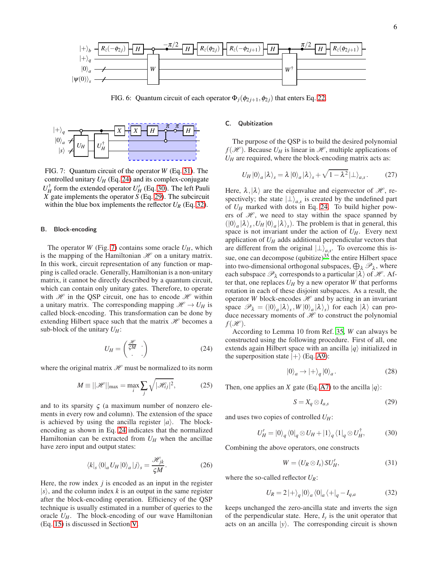<span id="page-5-0"></span>

FIG. 6: Quantum circuit of each operator  $\Phi_j(\phi_{2j+1}, \phi_{2j})$  that enters Eq. [22.](#page-4-2)

<span id="page-5-7"></span>

FIG. 7: Quantum circuit of the operator *W* (Eq. [31\)](#page-5-1). The controlled unitary  $U_H$  (Eq. [24\)](#page-5-3) and its complex-conjugate  $U_H^{\dagger}$  form the extended operator  $U_H'$  (Eq. [30\)](#page-5-4). The left Pauli *X* gate implements the operator *S* (Eq. [29\)](#page-5-5). The subcircuit within the blue box implements the reflector  $U_R$  (Eq. [32\)](#page-5-6).

## B. Block-encoding

The operator *W* (Fig. [7\)](#page-5-7) contains some oracle  $U_H$ , which is the mapping of the Hamiltonian  $\mathcal H$  on a unitary matrix. In this work, circuit representation of any function or mapping is called oracle. Generally, Hamiltonian is a non-unitary matrix, it cannot be directly described by a quantum circuit, which can contain only unitary gates. Therefore, to operate with  $\mathcal{H}$  in the QSP circuit, one has to encode  $\mathcal{H}$  within a unitary matrix. The corresponding mapping  $\mathcal{H} \to U_H$  is called block-encoding. This transformation can be done by extending Hilbert space such that the matrix  $\mathcal H$  becomes a sub-block of the unitary  $U_H$ :

<span id="page-5-3"></span>
$$
U_H = \begin{pmatrix} \frac{\mathcal{H}}{\zeta M} \\ . \end{pmatrix} \tag{24}
$$

where the original matrix  $\mathcal{H}$  must be normalized to its norm

$$
M \equiv ||\mathcal{H}||_{\text{max}} = \max_{i} \sum_{j} \sqrt{|\mathcal{H}_{ij}|^2},
$$
 (25)

and to its sparsity  $\zeta$  (a maximum number of nonzero elements in every row and column). The extension of the space is achieved by using the ancilla register  $|a\rangle$ . The blockencoding as shown in Eq. [24](#page-5-3) indicates that the normalized Hamiltonian can be extracted from  $U_H$  when the ancillae have zero input and output states:

<span id="page-5-8"></span>
$$
\langle k|_{s} \langle 0|_{a} U_{H} |0\rangle_{a} |j\rangle_{s} = \frac{\mathcal{H}_{jk}}{\varsigma M}.
$$
 (26)

Here, the row index *j* is encoded as an input in the register  $|s\rangle$ , and the column index *k* is an output in the same register after the block-encoding operation. Efficiency of the QSP technique is usually estimated in a number of queries to the oracle  $U_H$ . The block-encoding of our wave Hamiltonian (Eq. [15\)](#page-3-3) is discussed in Section [V.](#page-6-0)

## <span id="page-5-2"></span>C. Qubitization

The purpose of the QSP is to build the desired polynomial  $f(\mathcal{H})$ . Because  $U_H$  is linear in  $\mathcal{H}$ , multiple applications of  $U_H$  are required, where the block-encoding matrix acts as:

$$
U_H |0\rangle_a |\lambda\rangle_s = \lambda |0\rangle_a |\lambda\rangle_s + \sqrt{1-\lambda^2} |\perp\rangle_{a,s}.
$$
 (27)

Here,  $\lambda$ ,  $|\lambda\rangle$  are the eigenvalue and eigenvector of  $\mathcal{H}$ , respectively; the state  $|{\perp}\rangle_{a,s}$  is created by the undefined part of *U<sup>H</sup>* marked with dots in Eq. [24.](#page-5-3) To build higher powers of  $\mathcal{H}$ , we need to stay within the space spanned by  $(|0\rangle_a |\lambda\rangle_s, U_H |0\rangle_a |\lambda\rangle_s)$ . The problem is that in general, this space is not invariant under the action of  $U_H$ . Every next application of *U<sup>H</sup>* adds additional perpendicular vectors that are different from the original  $|\perp\rangle_{a,s}$ . To overcome this issue, one can decompose (qubitize) $35$  the entire Hilbert space into two-dimensional orthogonal subspaces,  $\bigoplus_{\lambda} \mathscr{P}_{\lambda}$ , where each subspace  $\mathcal{P}_{\lambda}$  corresponds to a particular  $|\lambda\rangle$  of  $\mathcal{H}$ . After that, one replaces  $U_H$  by a new operator *W* that performs rotation in each of these disjoint subspaces. As a result, the operator *W* block-encodes  $H$  and by acting in an invariant space  $\mathscr{P}_{\lambda} = (|0\rangle_a |\lambda\rangle_s, W |0\rangle_a |\lambda\rangle_s)$  for each  $|\lambda\rangle$  can produce necessary moments of  $\mathcal H$  to construct the polynomial  $f(\mathscr{H})$ .

According to Lemma 10 from Ref. [35](#page-15-29), *W* can always be constructed using the following procedure. First of all, one extends again Hilbert space with an ancilla  $|q\rangle$  initialized in the superposition state  $|+\rangle$  (Eq. [A9\)](#page-14-3):

$$
|0\rangle_a \to |+\rangle_q |0\rangle_a. \tag{28}
$$

Then, one applies an *X* gate (Eq. [A7\)](#page-14-4) to the ancilla  $|q\rangle$ :

<span id="page-5-5"></span>
$$
S = X_q \otimes I_{a,s} \tag{29}
$$

and uses two copies of controlled *UH*:

<span id="page-5-4"></span>
$$
U_H' = |0\rangle_q \langle 0|_q \otimes U_H + |1\rangle_q \langle 1|_q \otimes U_H^{\dagger}, \tag{30}
$$

Combining the above operators, one constructs

<span id="page-5-1"></span>
$$
W = (U_R \otimes I_s) SU_H', \tag{31}
$$

where the so-called reflector *UR*:

<span id="page-5-6"></span>
$$
U_R = 2 \left| + \right\rangle_q \left| 0 \right\rangle_a \left\langle 0 \right|_a \left\langle + \right|_q - I_{q,a} \tag{32}
$$

keeps unchanged the zero-ancilla state and inverts the sign of the perpendicular state. Here,  $I<sub>y</sub>$  is the unit operator that acts on an ancilla  $|y\rangle$ . The corresponding circuit is shown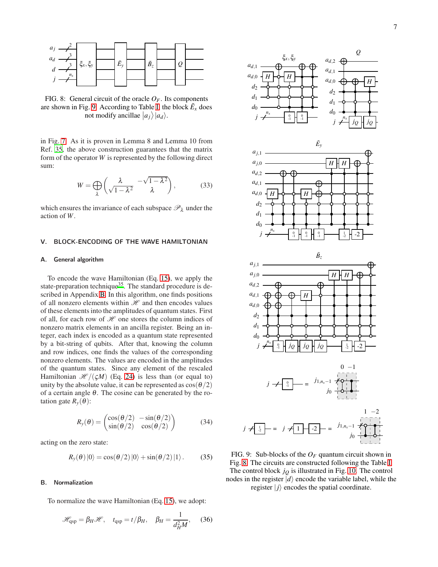<span id="page-6-3"></span>

FIG. 8: General circuit of the oracle  $O_F$ . Its components are shown in Fig. [9.](#page-6-2) According to Table [I,](#page-7-0) the block  $\tilde{E}_x$  does not modify ancillae  $|a_j\rangle |a_d\rangle$ .

in Fig. [7.](#page-5-7) As it is proven in Lemma 8 and Lemma 10 from Ref. [35](#page-15-29), the above construction guarantees that the matrix form of the operator *W* is represented by the following direct sum:

$$
W = \bigoplus_{\lambda} \left( \frac{\lambda}{\sqrt{1 - \lambda^2}} - \frac{\sqrt{1 - \lambda^2}}{\lambda} \right), \tag{33}
$$

which ensures the invariance of each subspace  $\mathscr{P}_{\lambda}$  under the action of *W*.

## <span id="page-6-0"></span>V. BLOCK-ENCODING OF THE WAVE HAMILTONIAN

#### A. General algorithm

To encode the wave Hamiltonian (Eq. [15\)](#page-3-3), we apply the state-preparation technique<sup>[35](#page-15-29)</sup>. The standard procedure is described in Appendix [B.](#page-14-5) In this algorithm, one finds positions of all nonzero elements within  $\mathcal H$  and then encodes values of these elements into the amplitudes of quantum states. First of all, for each row of  $\mathcal H$  one stores the column indices of nonzero matrix elements in an ancilla register. Being an integer, each index is encoded as a quantum state represented by a bit-string of qubits. After that, knowing the column and row indices, one finds the values of the corresponding nonzero elements. The values are encoded in the amplitudes of the quantum states. Since any element of the rescaled Hamiltonian  $\mathcal{H}/(\zeta M)$  (Eq. [24\)](#page-5-3) is less than (or equal to) unity by the absolute value, it can be represented as  $cos(\theta/2)$ of a certain angle  $\theta$ . The cosine can be generated by the rotation gate  $R_\nu(\theta)$ :

<span id="page-6-1"></span>
$$
R_{y}(\theta) = \begin{pmatrix} \cos(\theta/2) & -\sin(\theta/2) \\ \sin(\theta/2) & \cos(\theta/2) \end{pmatrix}
$$
 (34)

acting on the zero state:

<span id="page-6-4"></span>
$$
R_{y}(\theta)|0\rangle = \cos(\theta/2)|0\rangle + \sin(\theta/2)|1\rangle. \tag{35}
$$

# B. Normalization

To normalize the wave Hamiltonian (Eq. [15\)](#page-3-3), we adopt:

$$
\mathcal{H}_{\rm qsp} = \beta_H \mathcal{H}, \quad t_{\rm qsp} = t/\beta_H, \quad \beta_H = \frac{1}{d_H^2 M}, \quad (36)
$$

<span id="page-6-2"></span>

FIG. 9: Sub-blocks of the *O<sup>F</sup>* quantum circuit shown in Fig. [8.](#page-6-3) The circuits are constructed following the Table [I.](#page-7-0) The control block  $j<sub>O</sub>$  is illustrated in Fig. [10.](#page-7-1) The control nodes in the register  $|d\rangle$  encode the variable label, while the register  $|j\rangle$  encodes the spatial coordinate.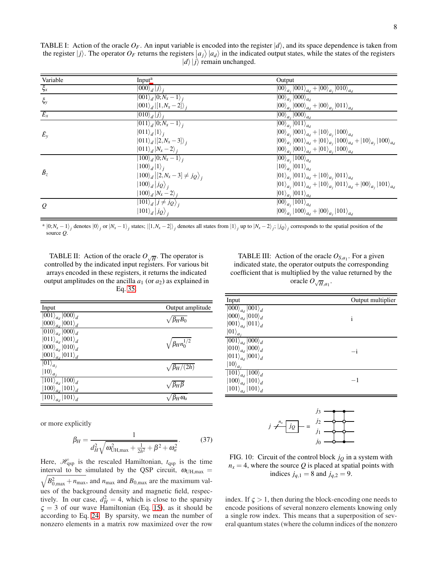<span id="page-7-0"></span>TABLE I: Action of the oracle  $O_F$ . An input variable is encoded into the register  $|d\rangle$ , and its space dependence is taken from the register  $|j\rangle$ . The operator  $O_F$  returns the registers  $|a_j\rangle |a_d\rangle$  in the indicated output states, while the states of the registers  $|d\rangle|j\rangle$  remain unchanged.

| Variable            | Input <sup>a</sup>                                                    | Output                                                                                                  |
|---------------------|-----------------------------------------------------------------------|---------------------------------------------------------------------------------------------------------|
| $\xi_x$             | $\ket{000}_d\ket{j}_i$                                                | $\ket{00}_{a_j}\ket{001}_{a_d} + \ket{00}_{a_j}\ket{010}_{a_d}$                                         |
| $\xi_{y}$           | $\left  001 \right\rangle_d \left  0; N_x - 1 \right\rangle_i$        | $\ket{00}_{a_i}\ket{000}_{a_d}$                                                                         |
|                     | $ 001\rangle_{d}$ $ [1, N_{x} - 2]\rangle_{i}$                        | $\ket{00}_{a_i}\ket{000}_{a_d}+\ket{00}_{a_i}\ket{011}_{a_d}$                                           |
| $\overline{E_x}$    | $ 010\rangle_d  j\rangle_i$                                           | $\ket{00}_{a_i}\ket{000}_{a_d}$                                                                         |
|                     | $\overline{ 011\rangle_d} 0;N_x-1\rangle_i$                           | $\ket{00}_{a_i}\ket{011}_{a_d}$                                                                         |
| $\tilde{E}_{\rm v}$ | $ 011\rangle_d 1\rangle_i$                                            | $ 00\rangle_{a_j} 001\rangle_{a_d}+ 10\rangle_{a_j} 100\rangle_{a_d}$                                   |
|                     | $ 011\rangle_{d} [2,N_{x}-3]\rangle_{i}$                              | $\ket{00}_{a_j}\ket{001}_{a_d}+\ket{01}_{a_j}\ket{100}_{a_d}+\ket{10}_{a_j}\ket{100}_{a_d}$             |
|                     | $ 011\rangle_d  N_x - 2\rangle_i$                                     | $\ket{00}_{a_i}\ket{001}_{a_d}+\ket{01}_{a_i}\ket{100}_{a_d}$                                           |
| $\tilde{B}_z$       | $\left  \overline{100}\right\rangle_d \left  0;N_x-1 \right\rangle_i$ | $\ket{00}_{a_i}\ket{100}_{a_d}$                                                                         |
|                     | $ 100\rangle_d  1\rangle_i$                                           | $ 10\rangle_{a_i} 011\rangle_{a_d}$                                                                     |
|                     | $ 100\rangle_d   [2, N_x - 3] \neq j_Q \rangle_i$                     | $\ket{01}_{a_j}\ket{011}_{a_d} + \ket{10}_{a_j}\ket{011}_{a_d}$                                         |
|                     | $\ket{100}_d\ket{j_Q}_i$                                              | $ 01\rangle_{a_j} 011\rangle_{a_d}+ 10\rangle_{a_j} 011\rangle_{a_d}+ 00\rangle_{a_j} 101\rangle_{a_d}$ |
|                     | $ 100\rangle_d  N_x - 2\rangle_i$                                     | $ 01\rangle_{a_i} 011\rangle_{a_d}$                                                                     |
| $\mathcal{Q}$       | $ 101\rangle_d  j \neq j_Q\rangle_i$                                  | $\overline{ 00\rangle}_{a_i}  101\rangle_{a_d}$                                                         |
|                     | $ 101\rangle_d  j_Q\rangle_i$                                         | $ 00\rangle_{a_i} 100\rangle_{a_d}+ 00\rangle_{a_i} 101\rangle_{a_d}$                                   |

<span id="page-7-2"></span> $a |0; N_x - 1\rangle_j$  denotes  $|0\rangle_j$  or  $|N_x - 1\rangle_j$  states;  $|[1, N_x - 2]\rangle_j$  denotes all states from  $|1\rangle_j$  up to  $|N_x - 2\rangle_j$ ;  $|j_Q\rangle_j$  corresponds to the spatial position of the source *Q*.

<span id="page-7-3"></span>TABLE II: Action of the oracle  $O_{\sqrt{H}}$ . The operator is controlled by the indicated input registers. For various bit arrays encoded in these registers, it returns the indicated output amplitudes on the ancilla  $a_1$  (or  $a_2$ ) as explained in Eq. [35.](#page-6-4)

| Input                                        | Output amplitude           |
|----------------------------------------------|----------------------------|
| $\overline{\ket{001}}_{a_d}\ket{000}_d$      | $\sqrt{\beta_H B_0}$       |
| $\ket{000}_{a_d}\ket{001}_d$                 |                            |
| $\left 010\right>_{a_d}\left 000\right>_{d}$ |                            |
| $ 011\rangle_{a_d} 001\rangle_d$             | $\sqrt{\beta_H n_0^{1/2}}$ |
| $\ket{000}_{a_d}\ket{010}_d$                 |                            |
| $ 001\rangle_{a_d} 011\rangle_d$             |                            |
| $\ket{01}_{a_i}$                             | $\sqrt{\beta_H/(2h)}$      |
| $ 10\rangle_{a_i}$                           |                            |
| $\overline{ 101\rangle}_{a_d}  100\rangle_d$ |                            |
| $\ket{100}_{a_d}\ket{101}_d$                 | $/ \beta_H \beta$          |
| $ 101\rangle_{a_d}\, 101\rangle_d$           | $\beta_H \omega_a$         |
|                                              |                            |

or more explicitly

<span id="page-7-5"></span>
$$
\beta_H = \frac{1}{d_H^2 \sqrt{\omega_{\text{UH,max}}^2 + \frac{1}{2h^2} + \beta^2 + \omega_a^2}}.
$$
(37)

Here,  $\mathcal{H}_{\text{qsp}}$  is the rescaled Hamiltonian,  $t_{\text{qsp}}$  is the time  $\sqrt{B_{0,\text{max}}^2 + n_{\text{max}}}$ , and  $n_{\text{max}}$  and  $B_{0,\text{max}}$  are the maximum valinterval to be simulated by the QSP circuit,  $\omega_{UH, max}$  = ues of the background density and magnetic field, respectively. In our case,  $d_H^2 = 4$ , which is close to the sparsity  $\zeta = 3$  of our wave Hamiltonian (Eq. [15\)](#page-3-3), as it should be according to Eq. [24.](#page-5-3) By sparsity, we mean the number of nonzero elements in a matrix row maximized over the row

<span id="page-7-4"></span>TABLE III: Action of the oracle  $O_{S,a_1}$ . For a given indicated state, the operator outputs the corresponding coefficient that is multiplied by the value returned by the oracle  $O_{\sqrt{H},a_1}$ .

| Input                                          | Output multiplier |
|------------------------------------------------|-------------------|
| $\overline{ 000\rangle}_{a_d}$ $ 001\rangle_d$ |                   |
| $\ket{000}_{a_d}\ket{010}_{d}$                 | $\mathbf{1}$      |
| $\ket{001}_{a_d}\ket{011}_d$                   |                   |
| $ 01\rangle_{a_i}$                             |                   |
| $\ket{001}_{a_d}\ket{000}_d$                   |                   |
| $\ket{010}_{a_d}\ket{000}_d$                   | $-1$              |
| $ 011\rangle_{a_d} 001\rangle_d$               |                   |
| $\ket{10}_{a_i}$                               |                   |
| $\ket{101}_{a_d}\ket{100}_d$                   |                   |
| $\ket{100}_{a_d}\ket{101}_d$                   | -1                |
| $ 101\rangle_{a_d}^{a_d} 101\rangle_{d}^{a}$   |                   |

<span id="page-7-1"></span>
$$
j \neq \frac{j_3}{j_2} = \frac{j_2}{j_1} = \frac{j_2}{j_0}
$$

FIG. 10: Circuit of the control block  $j_Q$  in a system with  $n_x = 4$ , where the source *Q* is placed at spatial points with indices  $j_{q,1} = 8$  and  $j_{q,2} = 9$ .

index. If  $\zeta > 1$ , then during the block-encoding one needs to encode positions of several nonzero elements knowing only a single row index. This means that a superposition of several quantum states (where the column indices of the nonzero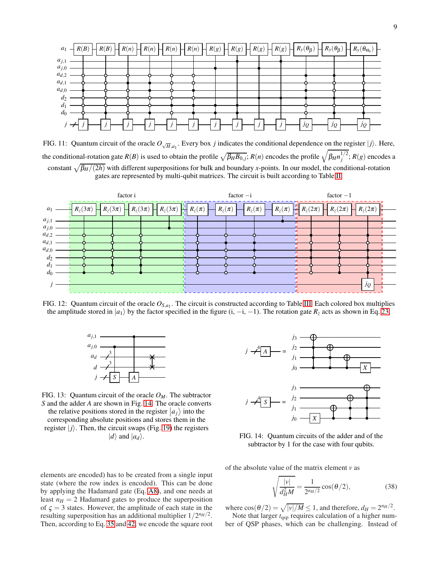<span id="page-8-1"></span>

FIG. 11: Quantum circuit of the oracle  $O_{\sqrt{H},a_1}$ . Every box *j* indicates the conditional dependence on the register  $|j\rangle$ . Here, the conditional-rotation gate  $R(B)$  is used to obtain the profile  $\sqrt{\beta_H B_{0,j}}$ ;  $R(n)$  encodes the profile  $\sqrt{\beta_H n_j^{1/2}}$  $j^{1/2}$ ;  $R(g)$  encodes a constant  $\sqrt{\beta_H/(2h)}$  with different superpositions for bulk and boundary *x*-points. In our model, the conditional-rotation gates are represented by multi-qubit matrices. The circuit is built according to Table [II.](#page-7-3)

<span id="page-8-2"></span>

<span id="page-8-3"></span>FIG. 12: Quantum circuit of the oracle  $O_{S,a_1}$ . The circuit is constructed according to Table [III.](#page-7-4) Each colored box multiplies the amplitude stored in  $|a_1\rangle$  by the factor specified in the figure (i, -i, -1). The rotation gate  $R_z$  acts as shown in Eq. [23.](#page-4-3)



FIG. 13: Quantum circuit of the oracle *OM*. The subtractor *S* and the adder *A* are shown in Fig. [14.](#page-8-0) The oracle converts the relative positions stored in the register  $|a_j\rangle$  into the corresponding absolute positions and stores them in the register  $|j\rangle$ . Then, the circuit swaps (Fig. [19\)](#page-14-6) the registers  $|d\rangle$  and  $|a_d\rangle$ .

elements are encoded) has to be created from a single input state (where the row index is encoded). This can be done by applying the Hadamard gate (Eq. [A8\)](#page-14-3), and one needs at least  $n_H = 2$  Hadamard gates to produce the superposition of  $\zeta = 3$  states. However, the amplitude of each state in the resulting superposition has an additional multiplier  $1/2^{n_H/2}$ . Then, according to Eq. [35](#page-6-4) and [42,](#page-9-0) we encode the square root

<span id="page-8-0"></span>

FIG. 14: Quantum circuits of the adder and of the subtractor by 1 for the case with four qubits.

of the absolute value of the matrix element *v* as

$$
\sqrt{\frac{|v|}{d_H^2 M}} = \frac{1}{2^{n_H/2}} \cos(\theta/2),
$$
\n(38)

where  $\cos(\theta/2) = \sqrt{|v|/M} \le 1$ , and therefore,  $d_H = 2^{n_H/2}$ . Note that larger  $t_{\text{qsp}}$  requires calculation of a higher number of QSP phases, which can be challenging. Instead of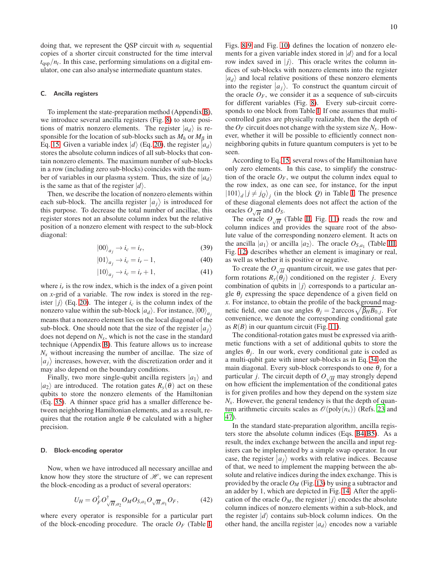doing that, we represent the QSP circuit with  $n_t$  sequential copies of a shorter circuit constructed for the time interval  $t_{\text{qsp}}/n_t$ . In this case, performing simulations on a digital emulator, one can also analyse intermediate quantum states.

### C. Ancilla registers

To implement the state-preparation method (Appendix [B\)](#page-14-5), we introduce several ancilla registers (Fig. [8\)](#page-6-3) to store positions of matrix nonzero elements. The register  $|a_d\rangle$  is responsible for the location of sub-blocks such as  $M_h$  or  $M_\beta$  in Eq. [15.](#page-3-3) Given a variable index  $|d\rangle$  (Eq. [20\)](#page-4-5), the register  $|a_d\rangle$ stores the absolute column indices of all sub-blocks that contain nonzero elements. The maximum number of sub-blocks in a row (including zero sub-blocks) coincides with the number of variables in our plasma system. Thus, the size of  $|a_d\rangle$ is the same as that of the register  $|d\rangle$ .

Then, we describe the location of nonzero elements within each sub-block. The ancilla register  $|a_j\rangle$  is introduced for the summary  $\Gamma$  degrees the total number of excillent this this purpose. To decrease the total number of ancillae, this register stores not an absolute column index but the relative position of a nonzero element with respect to the sub-block diagonal:

$$
|00\rangle_{a_j} \to i_c = i_r,\tag{39}
$$

$$
|01\rangle_{a_j} \to i_c = i_r - 1,\tag{40}
$$

$$
|10\rangle_{a_j} \to i_c = i_r + 1,\tag{41}
$$

where  $i_r$  is the row index, which is the index of a given point on *x*-grid of a variable. The row index is stored in the register  $|j\rangle$  (Eq. [20\)](#page-4-5). The integer  $i_c$  is the column index of the nonzero value within the sub-block  $|a_d\rangle$ . For instance,  $|00\rangle_a$ means that a nonzero element lies on the local diagonal of the sub-block. One should note that the size of the register  $|a_j\rangle$ does not depend on  $N_x$ , which is not the case in the standard technique (Appendix [B\)](#page-14-5). This feature allows us to increase  $N<sub>x</sub>$  without increasing the number of ancillae. The size of  $a_j$  increases, however, with the discretization order and it may also depend on the boundary conditions.

Finally, two more single-qubit ancilla registers  $|a_1\rangle$  and  $|a_2\rangle$  are introduced. The rotation gates  $R_y(\theta)$  act on these qubits to store the nonzero elements of the Hamiltonian (Eq. [35\)](#page-6-4). A thinner space grid has a smaller difference between neighboring Hamiltonian elements, and as a result, requires that the rotation angle  $\theta$  be calculated with a higher precision.

#### D. Block-encoding operator

Now, when we have introduced all necessary ancillae and know how they store the structure of  $\mathcal{H}$ , we can represent the block-encoding as a product of several operators:

<span id="page-9-0"></span>
$$
U_H = O_F^{\dagger} O_{\sqrt{H}, a_2}^{\dagger} O_M O_{S, a_1} O_{\sqrt{H}, a_1} O_F, \qquad (42)
$$

where every operator is responsible for a particular part of the block-encoding procedure. The oracle  $O_F$  (Table [I,](#page-7-0) Figs. [8-](#page-6-3)[9](#page-6-2) and Fig. [10\)](#page-7-1) defines the location of nonzero elements for a given variable index stored in  $|d\rangle$  and for a local row index saved in  $|j\rangle$ . This oracle writes the column indices of sub-blocks with nonzero elements into the register  $|a_d\rangle$  and local relative positions of these nonzero elements into the register  $|a_j\rangle$ . To construct the quantum circuit of the oracle  $O_F$ , we consider it as a sequence of sub-circuits for different variables (Fig. [8\)](#page-6-3). Every sub-circuit corresponds to one block from Table [I.](#page-7-0) If one assumes that multicontrolled gates are physically realizable, then the depth of the  $O_F$  circuit does not change with the system size  $N_x$ . However, whether it will be possible to efficiently connect nonneighboring qubits in future quantum computers is yet to be seen.

According to Eq. [15,](#page-3-3) several rows of the Hamiltonian have only zero elements. In this case, to simplify the construction of the oracle  $O_F$ , we output the column index equal to the row index, as one can see, for instance, for the input  $|101\rangle_d | j \neq j_Q\rangle_j$  (in the block *Q*) in Table [I.](#page-7-0) The presence of these diagonal elements does not affect the action of the oracles  $O_{\sqrt{H}}$  and  $O_S$ .

The oracle  $O_{\sqrt{H}}$  (Table [II,](#page-7-3) Fig. [11\)](#page-8-1) reads the row and column indices and provides the square root of the absolute value of the corresponding nonzero element. It acts on the ancilla  $|a_1\rangle$  or ancilla  $|a_2\rangle$ . The oracle  $O_{S,a_1}$  (Table [III,](#page-7-4) Fig. [12\)](#page-8-2) describes whether an element is imaginary or real, as well as whether it is positive or negative.

To create the  $O_{\sqrt{H}}$  quantum circuit, we use gates that perform rotations  $R_y(\theta_i)$  conditioned on the register *j*. Every combination of qubits in  $|j\rangle$  corresponds to a particular angle  $\theta_i$  expressing the space dependence of a given field on *x*. For instance, to obtain the profile of the background magnetic field, one can use angles  $\theta_j = 2 \arccos \sqrt{\beta_H B_{0,j}}$ . For convenience, we denote the corresponding conditional gate as  $R(B)$  in our quantum circuit (Fig. [11\)](#page-8-1).

The conditional-rotation gates must be expressed via arithmetic functions with a set of additional qubits to store the angles  $\theta_j$ . In our work, every conditional gate is coded as a multi-qubit gate with inner sub-blocks as in Eq. [34](#page-6-1) on the main diagonal. Every sub-block corresponds to one  $\theta_i$  for a particular *j*. The circuit depth of  $O_{\sqrt{H}}$  may strongly depend on how efficient the implementation of the conditional gates is for given profiles and how they depend on the system size  $N<sub>x</sub>$ . However, the general tendency is that the depth of quantum arithmetic circuits scales as  $\mathcal{O}(\text{poly}(n_x))$  (Refs. [23](#page-15-17) and [47\)](#page-16-2).

In the standard state-preparation algorithm, ancilla registers store the absolute column indices (Eqs. [B4-B5\)](#page-14-7). As a result, the index exchange between the ancilla and input registers can be implemented by a simple swap operator. In our case, the register  $|a_j\rangle$  works with relative indices. Because of that, we need to implement the mapping between the absolute and relative indices during the index exchange. This is provided by the oracle  $O_M$  (Fig. [13\)](#page-8-3) by using a subtractor and an adder by 1, which are depicted in Fig. [14.](#page-8-0) After the application of the oracle  $O_M$ , the register  $|j\rangle$  encodes the absolute column indices of nonzero elements within a sub-block, and the register  $|d\rangle$  contains sub-block column indices. On the other hand, the ancilla register  $|a_d\rangle$  encodes now a variable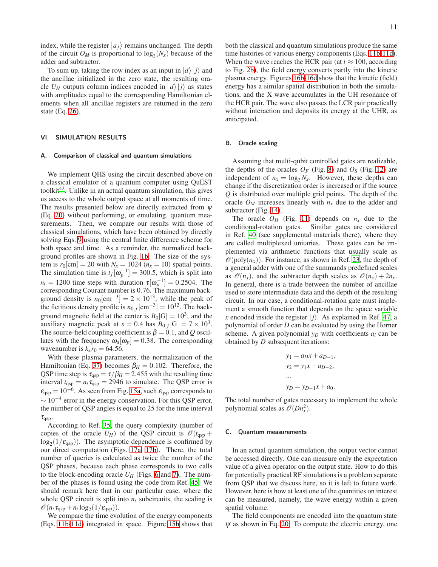index, while the register  $\ket{a_j}$  remains unchanged. The depth of the circuit  $O_M$  is proportional to  $log_2(N_x)$  because of the adder and subtractor.

To sum up, taking the row index as an input in  $|d\rangle|j\rangle$  and the ancillae initialized in the zero state, the resulting oracle  $U_H$  outputs column indices encoded in  $|d\rangle|j\rangle$  as states with amplitudes equal to the corresponding Hamiltonian elements when all ancillae registers are returned in the zero state (Eq. [26\)](#page-5-8).

## <span id="page-10-0"></span>VI. SIMULATION RESULTS

#### A. Comparison of classical and quantum simulations

We implement QHS using the circuit described above on a classical emulator of a quantum computer using QuEST toolkit $42$ . Unlike in an actual quantum simulation, this gives us access to the whole output space at all moments of time. The results presented below are directly extracted from  $\psi$ (Eq. [20\)](#page-4-5) without performing, or emulating, quantum measurements. Then, we compare our results with those of classical simulations, which have been obtained by directly solving Eqs. [9](#page-2-3) using the central finite difference scheme for both space and time. As a reminder, the normalized background profiles are shown in Fig. [1b.](#page-2-1) The size of the system is  $r_0$ [cm] = 20 with  $N_x$  = 1024 ( $n_x$  = 10) spatial points. The simulation time is  $t_f[\omega_p^{-1}] = 300.5$ , which is split into  $n_t = 1200$  time steps with duration  $\tau[\omega_p^{-1}] = 0.2504$ . The corresponding Courant number is 0.76. The maximum background density is  $n_0$ [cm<sup>-3</sup>] = 2 × 10<sup>13</sup>, while the peak of the fictitious density profile is  $n_{0,f}$  [cm<sup>-3</sup>] = 10<sup>12</sup>. The background magnetic field at the center is  $B_0[G] = 10^3$ , and the auxiliary magnetic peak at  $s = 0.4$  has  $B_{0,f}[G] = 7 \times 10^3$ . The source-field coupling coefficient is  $\beta = 0.1$ , and *Q* oscillates with the frequency  $\omega_a[\omega_p] = 0.38$ . The corresponding wavenumber is  $k_x r_0 = 64.56$ .

With these plasma parameters, the normalization of the Hamiltonian (Eq. [37\)](#page-7-5) becomes  $\beta_H = 0.102$ . Therefore, the QSP time step is  $\tau_{\text{qsp}} = \tau/\beta_H = 2.455$  with the resulting time interval  $t_{\text{qsp}} = n_t \tau_{\text{qsp}} = 2946$  to simulate. The QSP error is  $\varepsilon_{\text{qsp}} = 10^{-6}$ . As seen from Fig. [15a,](#page-11-2) such  $\varepsilon_{\text{qsp}}$  corresponds to  $\sim 10^{-4}$  error in the energy conservation. For this QSP error, the number of QSP angles is equal to 25 for the time interval  $\tau_{\mathrm{qsp}}$ .

According to Ref. [35](#page-15-29), the query complexity (number of copies of the oracle  $U_H$ ) of the QSP circuit is  $\mathcal{O}(t_{\text{qsp}} +$  $log_2(1/\varepsilon_{qsp})$ ). The asymptotic dependence is confirmed by our direct computation (Figs. [17a,](#page-12-1) [17b\)](#page-12-2). There, the total number of queries is calculated as twice the number of the QSP phases, because each phase corresponds to two calls to the block-encoding oracle  $U_H$  (Figs. [6](#page-5-0) and [7\)](#page-5-7). The number of the phases is found using the code from Ref. [45](#page-16-0). We should remark here that in our particular case, where the whole QSP circuit is split into  $n_t$  subcircuits, the scaling is  $\mathscr{O}(n_t \tau_{\text{qsp}} + n_t \log_2(1/\varepsilon_{\text{qsp}})).$ 

We compare the time evolution of the energy components (Eqs. [11b-11d\)](#page-2-5) integrated in space. Figure [15b](#page-11-3) shows that both the classical and quantum simulations produce the same time histories of various energy components (Eqs. [11b-11d\)](#page-2-5). When the wave reaches the HCR pair (at  $t \approx 100$ , according to Fig. [2b\)](#page-3-1), the field energy converts partly into the kinetic plasma energy. Figures [16b](#page-11-4)[-16d](#page-11-5) show that the kinetic (field) energy has a similar spatial distribution in both the simulations, and the X wave accumulates in the UH resonance of the HCR pair. The wave also passes the LCR pair practically without interaction and deposits its energy at the UHR, as anticipated.

#### B. Oracle scaling

Assuming that multi-qubit controlled gates are realizable, the depths of the oracles  $O_F$  (Fig. [8\)](#page-6-3) and  $O_S$  (Fig. [12\)](#page-8-2) are independent of  $n_x = \log_2 N_x$ . However, these depths can change if the discretization order is increased or if the source *Q* is distributed over multiple grid points. The depth of the oracle  $O_M$  increases linearly with  $n_x$  due to the adder and subtractor (Fig. [14\)](#page-8-0).

The oracle  $O_H$  (Fig. [11\)](#page-8-1) depends on  $n_x$  due to the conditional-rotation gates. Similar gates are considered in Ref. [40](#page-15-31) (see supplemental materials there), where they are called multiplexed unitaries. These gates can be implemented via arithmetic functions that usually scale as  $\mathcal{O}(\text{poly}(n_x))$ . For instance, as shown in Ref. [23,](#page-15-17) the depth of a general adder with one of the summands predefined scales as  $\mathcal{O}(n_x)$ , and the subtractor depth scales as  $\mathcal{O}(n_x) + 2n_x$ . In general, there is a trade between the number of ancillae used to store intermediate data and the depth of the resulting circuit. In our case, a conditional-rotation gate must implement a smooth function that depends on the space variable *x* encoded inside the register  $|i\rangle$ . As explained in Ref. [47,](#page-16-2) a polynomial of order *D* can be evaluated by using the Horner scheme. A given polynomial  $y_D$  with coefficients  $a_i$  can be obtained by *D* subsequent iterations:

$$
y_1 = a_D x + a_{D-1},
$$
  
\n
$$
y_2 = y_1 x + a_{D-2},
$$
  
\n...  
\n
$$
y_D = y_{D-1} x + a_0.
$$

The total number of gates necessary to implement the whole polynomial scales as  $\mathscr{O}(Dn_x^2)$ .

#### C. Quantum measurements

In an actual quantum simulation, the output vector cannot be accessed directly. One can measure only the expectation value of a given operator on the output state. How to do this for potentially practical RF simulations is a problem separate from QSP that we discuss here, so it is left to future work. However, here is how at least one of the quantities on interest can be measured, namely, the wave energy within a given spatial volume.

The field components are encoded into the quantum state  $\psi$  as shown in Eq. [20.](#page-4-5) To compute the electric energy, one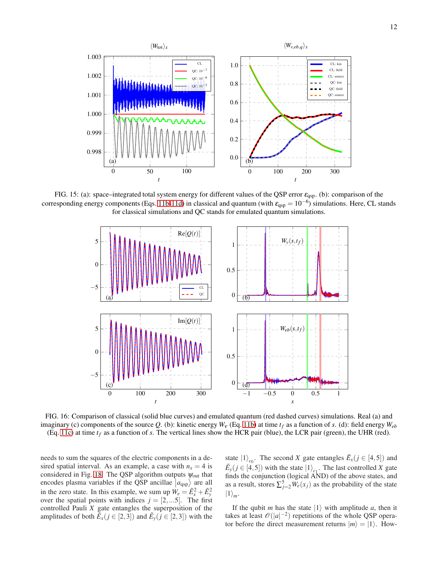<span id="page-11-2"></span>

<span id="page-11-0"></span>FIG. 15: (a): space–integrated total system energy for different values of the QSP error  $\varepsilon_{\text{qsp}}$ . (b): comparison of the corresponding energy components (Eqs. [11b-11d\)](#page-2-5) in classical and quantum (with  $\varepsilon_{\rm qsp} = 10^{-6}$ ) simulations. Here, CL stands for classical simulations and QC stands for emulated quantum simulations.

<span id="page-11-3"></span><span id="page-11-1"></span>

FIG. 16: Comparison of classical (solid blue curves) and emulated quantum (red dashed curves) simulations. Real (a) and imaginary (c) components of the source Q. (b): kinetic energy  $W_V$  (Eq. [11b\)](#page-2-5) at time  $t_f$  as a function of *s*. (d): field energy  $W_{eb}$ (Eq. [11c\)](#page-2-5) at time  $t_f$  as a function of *s*. The vertical lines show the HCR pair (blue), the LCR pair (green), the UHR (red).

needs to sum the squares of the electric components in a desired spatial interval. As an example, a case with  $n<sub>x</sub> = 4$  is considered in Fig. [18.](#page-12-3) The QSP algorithm outputs  $\psi_{\text{out}}$  that encodes plasma variables if the QSP ancillae  $|a_{\text{qsp}}\rangle$  are all in the zero state. In this example, we sum up  $W_e = \tilde{E}_x^2 + \tilde{E}_y^2$ over the spatial points with indices  $j = [2,...5]$ . The first controlled Pauli *X* gate entangles the superposition of the amplitudes of both  $\tilde{E}_x(j \in [2,3])$  and  $\tilde{E}_y(j \in [2,3])$  with the

<span id="page-11-5"></span><span id="page-11-4"></span>state  $|1\rangle_{c_0}$ . The second *X* gate entangles  $\tilde{E}_x(j \in [4,5])$  and  $\tilde{E}_y$  ( $j \in [4, 5]$ ) with the state  $|1\rangle_{c_1}$ . The last controlled *X* gate finds the conjunction (logical AND) of the above states, and as a result, stores  $\sum_{j=2}^{5} W_e(x_j)$  as the probability of the state  $|1\rangle_m$ .

If the qubit *m* has the state  $|1\rangle$  with amplitude *a*, then it takes at least  $\mathcal{O}(|a|^{-2})$  repetitions of the whole QSP operator before the direct measurement returns  $|m\rangle = |1\rangle$ . How-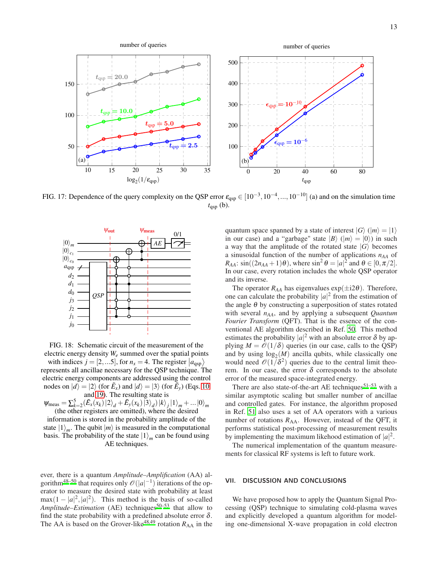<span id="page-12-1"></span>

FIG. 17: Dependence of the query complexity on the QSP error  $\varepsilon_{\text{qsp}} \in [10^{-3}, 10^{-4}, ..., 10^{-10}]$  (a) and on the simulation time  $t_{\text{asp}}$  (b).

<span id="page-12-3"></span>

FIG. 18: Schematic circuit of the measurement of the electric energy density *W<sup>e</sup>* summed over the spatial points

with indices  $j = [2, ...5]$ , for  $n_x = 4$ . The register  $|a_{\text{qsp}}\rangle$ represents all ancillae necessary for the QSP technique. The electric energy components are addressed using the control nodes on  $|d\rangle = |2\rangle$  (for  $\tilde{E}_x$ ) and  $|d\rangle = |3\rangle$  (for  $\tilde{E}_y$ ) (Eqs. [10](#page-2-6)) and [19\)](#page-3-4). The resulting state is

 $\psi_{\text{meas}} = \sum_{k=2}^{5} (\tilde{E}_{x}(x_k) | 2 \rangle_d + \tilde{E}_{y}(x_k) | 3 \rangle_d | k \rangle_j | 1 \rangle_m + ... | 0 \rangle_m$ (the other registers are omitted), where the desired

information is stored in the probability amplitude of the state  $|1\rangle_m$ . The qubit  $|m\rangle$  is measured in the computational basis. The probability of the state  $|1\rangle_m$  can be found using AE techniques.

ever, there is a quantum *Amplitude–Amplification* (AA) al-gorithm<sup>[48](#page-16-3)[–50](#page-16-4)</sup> that requires only  $\mathcal{O}(|a|^{-1})$  iterations of the operator to measure the desired state with probability at least  $\max(1-|a|^2,|a|^2)$ . This method is the basis of so-called *Amplitude–Estimation* (AE) techniques<sup>[50](#page-16-4)[–53](#page-16-5)</sup> that allow to find the state probability with a predefined absolute error  $\delta$ . The AA is based on the Grover-like<sup>[48](#page-16-3)[,49](#page-16-6)</sup> rotation  $R_{AA}$  in the <span id="page-12-2"></span>quantum space spanned by a state of interest  $|G\rangle$  ( $|m\rangle = |1\rangle$ ) in our case) and a "garbage" state  $|B\rangle$  ( $|m\rangle = |0\rangle$ ) in such a way that the amplitude of the rotated state  $|G\rangle$  becomes a sinusoidal function of the number of applications *nAA* of  $R_{AA}$ : sin( $(2n_{AA}+1)\theta$ ), where sin<sup>2</sup>  $\theta = |a|^2$  and  $\theta \in [0, \pi/2]$ . In our case, every rotation includes the whole QSP operator and its inverse.

The operator  $R_{AA}$  has eigenvalues  $\exp(\pm i2\theta)$ . Therefore, one can calculate the probability  $|a|^2$  from the estimation of the angle  $\theta$  by constructing a superposition of states rotated with several *nAA*, and by applying a subsequent *Quantum Fourier Transform* (QFT). That is the essence of the conventional AE algorithm described in Ref. [50.](#page-16-4) This method estimates the probability  $|a|^2$  with an absolute error  $\delta$  by applying  $M = \mathcal{O}(1/\delta)$  queries (in our case, calls to the QSP) and by using  $log_2(M)$  ancilla qubits, while classically one would need  $\mathcal{O}(1/\delta^2)$  queries due to the central limit theorem. In our case, the error  $\delta$  corresponds to the absolute error of the measured space-integrated energy.

There are also state-of-the-art AE techniques $51-53$  $51-53$  with a similar asymptotic scaling but smaller number of ancillae and controlled gates. For instance, the algorithm proposed in Ref. [51](#page-16-7) also uses a set of AA operators with a various number of rotations  $R_{AA}$ . However, instead of the QFT, it performs statistical post-processing of measurement results by implementing the maximum likehood estimation of  $|a|^2$ .

The numerical implementation of the quantum measurements for classical RF systems is left to future work.

# <span id="page-12-0"></span>VII. DISCUSSION AND CONCLUSIONS

We have proposed how to apply the Quantum Signal Processing (QSP) technique to simulating cold-plasma waves and explicitly developed a quantum algorithm for modeling one-dimensional X-wave propagation in cold electron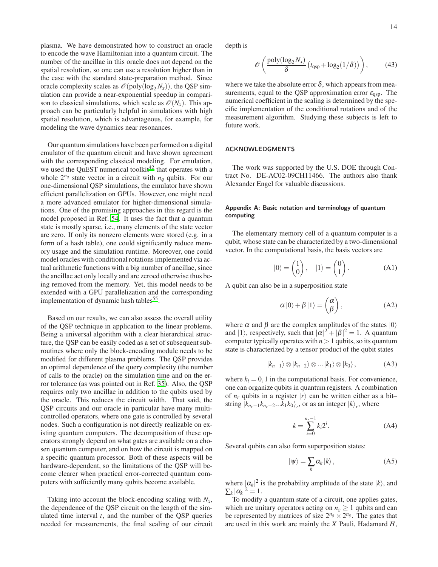plasma. We have demonstrated how to construct an oracle to encode the wave Hamiltonian into a quantum circuit. The number of the ancillae in this oracle does not depend on the spatial resolution, so one can use a resolution higher than in the case with the standard state-preparation method. Since oracle complexity scales as  $\mathcal{O}(\text{poly}(\log_2 N_x))$ , the QSP simulation can provide a near-exponential speedup in comparison to classical simulations, which scale as  $\mathcal{O}(N_x)$ . This approach can be particularly helpful in simulations with high spatial resolution, which is advantageous, for example, for modeling the wave dynamics near resonances.

Our quantum simulations have been performed on a digital emulator of the quantum circuit and have shown agreement with the corresponding classical modeling. For emulation, we used the QuEST numerical toolkit<sup>[42](#page-15-33)</sup> that operates with a whole  $2^{n_q}$  state vector in a circuit with  $n_q$  qubits. For our one-dimensional QSP simulations, the emulator have shown efficient parallelization on GPUs. However, one might need a more advanced emulator for higher-dimensional simulations. One of the promising approaches in this regard is the model proposed in Ref. [54.](#page-16-8) It uses the fact that a quantum state is mostly sparse, i.e., many elements of the state vector are zero. If only its nonzero elements were stored (e.g. in a form of a hash table), one could significantly reduce memory usage and the simulation runtime. Moreover, one could model oracles with conditional rotations implemented via actual arithmetic functions with a big number of ancillae, since the ancillae act only locally and are zeroed otherwise thus being removed from the memory. Yet, this model needs to be extended with a GPU parallelization and the corresponding implementation of dynamic hash tables<sup>[55](#page-16-9)</sup>.

Based on our results, we can also assess the overall utility of the QSP technique in application to the linear problems. Being a universal algorithm with a clear hierarchical structure, the QSP can be easily coded as a set of subsequent subroutines where only the block-encoding module needs to be modified for different plasma problems. The QSP provides an optimal dependence of the query complexity (the number of calls to the oracle) on the simulation time and on the error tolerance (as was pointed out in Ref. [35\)](#page-15-29). Also, the QSP requires only two ancillae in addition to the qubits used by the oracle. This reduces the circuit width. That said, the QSP circuits and our oracle in particular have many multicontrolled operators, where one gate is controlled by several nodes. Such a configuration is not directly realizable on existing quantum computers. The decomposition of these operators strongly depend on what gates are available on a chosen quantum computer, and on how the circuit is mapped on a specific quantum processor. Both of these aspects will be hardware-dependent, so the limitations of the QSP will become clearer when practical error-corrected quantum computers with sufficiently many qubits become available.

Taking into account the block-encoding scaling with *Nx*, the dependence of the QSP circuit on the length of the simulated time interval *t*, and the number of the QSP queries needed for measurements, the final scaling of our circuit depth is

$$
\mathscr{O}\left(\frac{\text{poly}(\log_2 N_x)}{\delta}\left(t_{\text{qsp}} + \log_2(1/\delta)\right)\right),\tag{43}
$$

where we take the absolute error  $\delta$ , which appears from measurements, equal to the QSP approximation error  $\varepsilon_{\text{qsp}}$ . The numerical coefficient in the scaling is determined by the specific implementation of the conditional rotations and of the measurement algorithm. Studying these subjects is left to future work.

## ACKNOWLEDGMENTS

The work was supported by the U.S. DOE through Contract No. DE-AC02-09CH11466. The authors also thank Alexander Engel for valuable discussions.

## <span id="page-13-0"></span>Appendix A: Basic notation and terminology of quantum computing

The elementary memory cell of a quantum computer is a qubit, whose state can be characterized by a two-dimensional vector. In the computational basis, the basis vectors are

$$
|0\rangle = \begin{pmatrix} 1 \\ 0 \end{pmatrix}, \quad |1\rangle = \begin{pmatrix} 0 \\ 1 \end{pmatrix}.
$$
 (A1)

A qubit can also be in a superposition state

<span id="page-13-1"></span>
$$
\alpha |0\rangle + \beta |1\rangle = \begin{pmatrix} \alpha \\ \beta \end{pmatrix}, \tag{A2}
$$

where  $\alpha$  and  $\beta$  are the complex amplitudes of the states  $|0\rangle$ and  $|1\rangle$ , respectively, such that  $|\alpha|^2 + |\beta|^2 = 1$ . A quantum computer typically operates with  $n > 1$  qubits, so its quantum state is characterized by a tensor product of the qubit states

$$
|k_{n-1}\rangle \otimes |k_{n-2}\rangle \otimes \ldots |k_1\rangle \otimes |k_0\rangle, \qquad (A3)
$$

where  $k_i = 0, 1$  in the computational basis. For convenience, one can organize qubits in quantum registers. A combination of  $n_r$  qubits in a register  $|r\rangle$  can be written either as a bitstring  $|k_{n_r-1}k_{n_r-2}...k_1k_0\rangle_r$ , or as an integer  $|k\rangle_r$ , where

$$
k = \sum_{i=0}^{n_r - 1} k_i 2^i.
$$
 (A4)

Several qubits can also form superposition states:

$$
|\psi\rangle = \sum_{k} \alpha_{k} |k\rangle, \qquad (A5)
$$

where  $|\alpha_k|^2$  is the probability amplitude of the state  $|k\rangle$ , and  $\sum_k |\alpha_k|^2 = 1.$ 

To modify a quantum state of a circuit, one applies gates, which are unitary operators acting on  $n_g \geq 1$  qubits and can be represented by matrices of size  $2^{n_g} \times 2^{n_g}$ . The gates that are used in this work are mainly the *X* Pauli, Hadamard *H*,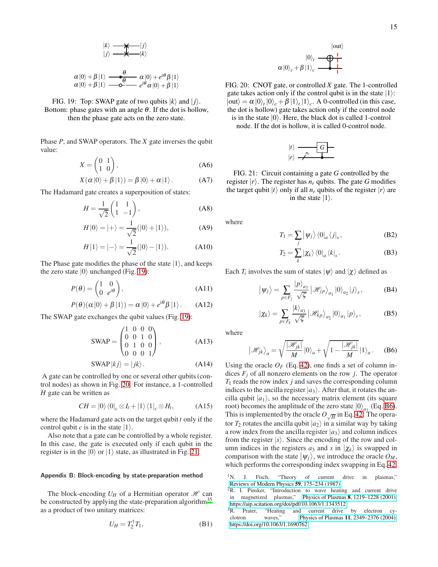<span id="page-14-6"></span>
$$
\begin{array}{ccc}\n\ket{k} & \rightarrow & \rightarrow & \ket{j} \\
\ket{j} & \rightarrow & \rightarrow & \ket{k}\n\end{array}
$$

$$
\alpha|0\rangle + \beta|1\rangle \xrightarrow{\mathbf{0}} \alpha|0\rangle + e^{i\theta} \beta|1\rangle \alpha|0\rangle + \beta|1\rangle \xrightarrow{\mathbf{0}} e^{i\theta} \alpha|0\rangle + \beta|1\rangle
$$

FIG. 19: Top: SWAP gate of two qubits  $|k\rangle$  and  $|j\rangle$ . Bottom: phase gates with an angle  $\theta$ . If the dot is hollow, then the phase gate acts on the zero state.

Phase *P*, and SWAP operators. The *X* gate inverses the qubit value:

<span id="page-14-4"></span>
$$
X = \begin{pmatrix} 0 & 1 \\ 1 & 0 \end{pmatrix}, \tag{A6}
$$

$$
X(\alpha|0\rangle + \beta|1\rangle) = \beta|0\rangle + \alpha|1\rangle.
$$
 (A7)

The Hadamard gate creates a superposition of states:

<span id="page-14-3"></span>
$$
H = \frac{1}{\sqrt{2}} \begin{pmatrix} 1 & 1 \\ 1 & -1 \end{pmatrix}, \tag{A8}
$$

$$
H|0\rangle = |+\rangle = \frac{1}{\sqrt{2}}(|0\rangle + |1\rangle), \tag{A9}
$$

$$
H|1\rangle = |-\rangle = \frac{1}{\sqrt{2}}(|0\rangle - |1\rangle).
$$
 (A10)

The Phase gate modifies the phase of the state  $|1\rangle$ , and keeps the zero state  $|0\rangle$  unchanged (Fig. [19\)](#page-14-6):

$$
P(\theta) = \begin{pmatrix} 1 & 0 \\ 0 & e^{i\theta} \end{pmatrix},
$$
 (A11)

$$
P(\theta)(\alpha|0\rangle + \beta|1\rangle) = \alpha|0\rangle + e^{i\theta}\beta|1\rangle.
$$
 (A12)

The SWAP gate exchanges the qubit values (Fig. [19\)](#page-14-6):

$$
SWAP = \begin{pmatrix} 1 & 0 & 0 & 0 \\ 0 & 0 & 1 & 0 \\ 0 & 1 & 0 & 0 \\ 0 & 0 & 0 & 1 \end{pmatrix}, \tag{A13}
$$

$$
SWAP |kj\rangle = |jk\rangle.
$$
 (A14)

A gate can be controlled by one or several other qubits (control nodes) as shown in Fig. [20.](#page-14-8) For instance, a 1-controlled *H* gate can be written as

$$
CH = |0\rangle\langle 0|_c \otimes I_t + |1\rangle\langle 1|_c \otimes H_t, \qquad (A15)
$$

where the Hadamard gate acts on the target qubit *t* only if the control qubit *c* is in the state  $|1\rangle$ .

Also note that a gate can be controlled by a whole register. In this case, the gate is executed only if each qubit in the register is in the  $|0\rangle$  or  $|1\rangle$  state, as illustrated in Fig. [21.](#page-14-9)

#### <span id="page-14-5"></span>Appendix B: Block-encoding by state-preparation method

The block-encoding  $U_H$  of a Hermitian operator  $\mathcal H$  can be constructed by applying the state-preparation algorithm<sup>[35](#page-15-29)</sup> as a product of two unitary matrices:

$$
U_H = T_2^{\dagger} T_1,\tag{B1}
$$

$$
\begin{array}{c}\n\text{ |out}\n\\
\alpha \ket{0}_t \xrightarrow{\text{ |out}} \\
\alpha \ket{0}_c + \beta \ket{1}_c \xrightarrow{\text{ |out}} \\
\end{array}
$$

<span id="page-14-8"></span>FIG. 20: CNOT gate, or controlled *X* gate. The 1-controlled gate takes action only if the control qubit is in the state  $|1\rangle$ :  $|\text{out}\rangle = \alpha |0\rangle_t |0\rangle_c + \beta |1\rangle_t |1\rangle_c$ . A 0-controlled (in this case, the dot is hollow) gate takes action only if the control node is in the state  $|0\rangle$ . Here, the black dot is called 1-control node. If the dot is hollow, it is called 0-control node.

$$
|t\rangle \longrightarrow
$$

$$
|r\rangle \longrightarrow
$$

<span id="page-14-9"></span>FIG. 21: Circuit containing a gate *G* controlled by the register  $|r\rangle$ . The register has  $n_r$  qubits. The gate G modifies the target qubit  $|t\rangle$  only if all  $n_r$  qubits of the register  $|r\rangle$  are in the state  $|1\rangle$ .

where

$$
T_1 = \sum_j |\psi_j\rangle\langle 0|_a \langle j|_s, \qquad (B2)
$$

$$
T_2 = \sum_{k} |\chi_k\rangle \langle 0|_a \langle k|_s.
$$
 (B3)

Each  $T_i$  involves the sum of states  $|\psi\rangle$  and  $|\chi\rangle$  defined as

<span id="page-14-7"></span>
$$
|\psi_j\rangle = \sum_{p \in F_j} \frac{|p\rangle_{a_3}}{\sqrt{\varsigma}} |\mathcal{H}_{jp}\rangle_{a_1} |0\rangle_{a_2} |j\rangle_{s},
$$
 (B4)

$$
|\chi_k\rangle = \sum_{p \in F_k} \frac{|k\rangle_{a_3}}{\sqrt{\varsigma}} |\mathcal{H}_{kp}\rangle_{a_2} |0\rangle_{a_1} |p\rangle_{s},
$$
 (B5)

where

<span id="page-14-10"></span>
$$
\left|\mathcal{H}_{jk}\right\rangle_a = \sqrt{\frac{|\mathcal{H}_{jk}|}{M}} \left|0\right\rangle_a + \sqrt{1 - \frac{|\mathcal{H}_{jk}|}{M}} \left|1\right\rangle_a.
$$
 (B6)

Using the oracle  $O_F$  (Eq. [42\)](#page-9-0), one finds a set of column indices  $F_i$  of all nonzero elements on the row *j*. The operator *T*<sup>1</sup> reads the row index *j* and saves the corresponding column indices to the ancilla register  $|a_3\rangle$ . After that, it rotates the ancilla qubit  $|a_1\rangle$ , so the necessary matrix element (its square root) becomes the amplitude of the zero state  $|0\rangle_{a}$  (Eq. [B6\)](#page-14-10). This is implemented by the oracle  $O_{\sqrt{H}}$  in Eq. [42.](#page-9-0) The operator  $T_2$  rotates the ancilla qubit  $|a_2\rangle$  in a similar way by taking a row index from the ancilla register  $|a_3\rangle$  and column indices from the register  $|s\rangle$ . Since the encoding of the row and column indices in the registers  $a_3$  and  $s$  in  $|\chi_k\rangle$  is swapped in comparison with the state  $|\psi_j\rangle$ , we introduce the oracle  $O_M$ , which performs the corresponding index swapping in Eq. [42.](#page-9-0)

<span id="page-14-0"></span><sup>&</sup>lt;sup>1</sup>N. J. Fisch, "Theory of current drive in plasmas," [Reviews of Modern Physics](http://dx.doi.org/10.1103/RevModPhys.59.175) 59, 175–234 (1987).

<span id="page-14-1"></span><sup>&</sup>lt;sup>2</sup>R. I. Pinsker, "Introduction to wave heating and current drive in magnetized plasmas," Physics of Plasmas 8[, 1219–1228 \(2001\),](http://dx.doi.org/ 10.1063/1.1343512) [https://aip.scitation.org/doi/pdf/10.1063/1.1343512.](http://arxiv.org/abs/https://aip.scitation.org/doi/pdf/10.1063/1.1343512)<br><sup>3</sup>R. Prater, "Heating and current drive

<span id="page-14-2"></span><sup>&</sup>quot;Heating and current drive by electron cyclotron waves," Physics of Plasmas 11[, 2349–2376 \(2004\),](http://dx.doi.org/ 10.1063/1.1690762) [https://doi.org/10.1063/1.1690762.](http://arxiv.org/abs/https://doi.org/10.1063/1.1690762)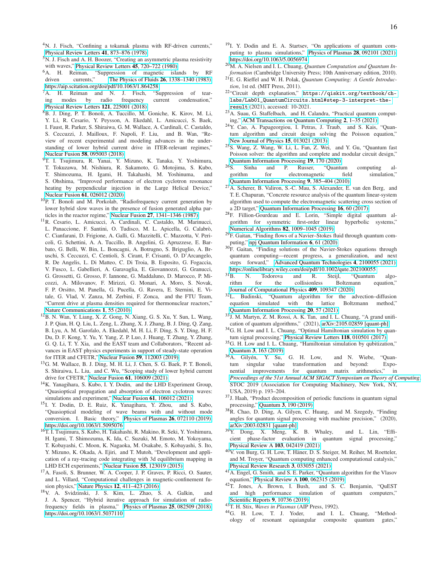- <span id="page-15-0"></span><sup>4</sup>N. J. Fisch, "Confining a tokamak plasma with RF-driven currents," [Physical Review Letters](http://dx.doi.org/ 10.1103/PhysRevLett.41.873) 41, 873–876 (1978).
- <span id="page-15-1"></span><sup>5</sup>N. J. Fisch and A. H. Boozer, "Creating an asymmetric plasma resistivity with waves," [Physical Review Letters](http://dx.doi.org/ 10.1103/PhysRevLett.45.720) 45, 720–722 (1980).
- <span id="page-15-2"></span><sup>6</sup>A. H. Reiman, "Suppression of magnetic islands by RF driven currents," [The Physics of Fluids](http://dx.doi.org/ 10.1063/1.864258) 26, 1338–1340 (1983), [https://aip.scitation.org/doi/pdf/10.1063/1.864258.](http://arxiv.org/abs/https://aip.scitation.org/doi/pdf/10.1063/1.864258)
- <span id="page-15-3"></span><sup>7</sup>A. H. Reiman and N. J. Fisch, "Suppression of tearing modes by radio frequency current condensation," [Physical Review Letters](http://dx.doi.org/ 10.1103/PhysRevLett.121.225001) 121, 225001 (2018).
- <span id="page-15-4"></span><sup>8</sup>B. J. Ding, P. T. Bonoli, A. Tuccillo, M. Goniche, K. Kirov, M. Li, Y. Li, R. Cesario, Y. Peysson, A. Ekedahl, L. Amicucci, S. Baek, I. Faust, R. Parker, S. Shiraiwa, G. M. Wallace, A. Cardinali, C. Castaldo, S. Ceccuzzi, J. Mailloux, F. Napoli, F. Liu, and B. Wan, "Review of recent experimental and modeling advances in the understanding of lower hybrid current drive in ITER-relevant regimes," Nuclear Fusion 58[, 095003 \(2018\).](http://dx.doi.org/ 10.1088/1741-4326/aad0aa)
- <span id="page-15-5"></span><sup>9</sup>T. I. Tsujimura, R. Yanai, Y. Mizuno, K. Tanaka, Y. Yoshimura, T. Tokuzawa, M. Nishiura, R. Sakamoto, G. Motojima, S. Kubo, T. Shimozuma, H. Igami, H. Takahashi, M. Yoshinuma, and S. Ohshima, "Improved performance of electron cyclotron resonance heating by perpendicular injection in the Large Helical Device," Nuclear Fusion 61[, 026012 \(2020\).](http://dx.doi.org/ 10.1088/1741-4326/abc977)
- <span id="page-15-6"></span><sup>10</sup>P. T. Bonoli and M. Porkolab, "Radiofrequency current generation by lower hybrid slow waves in the presence of fusion generated alpha particles in the reactor regime," Nuclear Fusion 27[, 1341–1346 \(1987\).](http://dx.doi.org/ 10.1088/0029-5515/27/8/013)
- <sup>11</sup>R. Cesario, L. Amicucci, A. Cardinali, C. Castaldo, M. Marinucci, L. Panaccione, F. Santini, O. Tudisco, M. L. Apicella, G. Calabrò, C. Cianfarani, D. Frigione, A. Galli, G. Mazzitelli, C. Mazzotta, V. Pericoli, G. Schettini, A. A. Tuccillo, B. Angelini, G. Apruzzese, E. Barbato, G. Belli, W. Bin, L. Boncagni, A. Botrugno, S. Briguglio, A. Bruschi, S. Ceccuzzi, C. Centioli, S. Cirant, F. Crisanti, O. D'Arcangelo, R. De Angelis, L. Di Matteo, C. Di Troia, B. Esposito, G. Fogaccia, V. Fusco, L. Gabellieri, A. Garavaglia, E. Giovannozzi, G. Granucci, G. Grossetti, G. Grosso, F. Iannone, G. Maddaluno, D. Marocco, P. Micozzi, A. Milovanov, F. Mirizzi, G. Monari, A. Moro, S. Novak, F. P. Orsitto, M. Panella, G. Pucella, G. Ravera, E. Sternini, E. Vitale, G. Vlad, V. Zanza, M. Zerbini, F. Zonca, and the FTU Team, "Current drive at plasma densities required for thermonuclear reactors," [Nature Communications](http://dx.doi.org/10.1038/ncomms1052) 1, 55 (2010).
- <sup>12</sup>B. N. Wan, Y. Liang, X. Z. Gong, N. Xiang, G. S. Xu, Y. Sun, L. Wang, J. P. Qian, H. Q. Liu, L. Zeng, L. Zhang, X. J. Zhang, B. J. Ding, Q. Zang, B. Lyu, A. M. Garofalo, A. Ekedahl, M. H. Li, F. Ding, S. Y. Ding, H. F. Du, D. F. Kong, Y. Yu, Y. Yang, Z. P. Luo, J. Huang, T. Zhang, Y. Zhang, G. Q. Li, T. Y. Xia, and the EAST team and Collaborators, "Recent advances in EAST physics experiments in support of steady-state operation for ITER and CFETR," Nuclear Fusion 59[, 112003 \(2019\).](http://dx.doi.org/10.1088/1741-4326/ab0396)
- <span id="page-15-7"></span><sup>13</sup>G. M. Wallace, B. J. Ding, M. H. Li, J. Chen, S. G. Baek, P. T. Bonoli, S. Shiraiwa, L. Liu, and C. Wu, "Scoping study of lower hybrid current drive for CFETR," Nuclear Fusion 61[, 106009 \(2021\).](http://dx.doi.org/10.1088/1741-4326/ac1ae1)
- <span id="page-15-8"></span><sup>14</sup>K. Yanagihara, S. Kubo, I. Y. Dodin, and the LHD Experiment Group, "Quasioptical propagation and absorption of electron cyclotron waves: simulations and experiment," Nuclear Fusion 61[, 106012 \(2021\).](http://dx.doi.org/ 10.1088/1741-4326/ac1d86)
- <span id="page-15-9"></span><sup>15</sup>I. Y. Dodin, D. E. Ruiz, K. Yanagihara, Y. Zhou, and S. Kubo, "Quasioptical modeling of wave beams with and without mode conversion. I. Basic theory," [Physics of Plasmas](http://dx.doi.org/10.1063/1.5095076) 26, 072110 (2019), [https://doi.org/10.1063/1.5095076.](http://arxiv.org/abs/https://doi.org/10.1063/1.5095076)
- <span id="page-15-10"></span><sup>16</sup>T. I. Tsujimura, S. Kubo, H. Takahashi, R. Makino, R. Seki, Y. Yoshimura, H. Igami, T. Shimozuma, K. Ida, C. Suzuki, M. Emoto, M. Yokoyama, T. Kobayashi, C. Moon, K. Nagaoka, M. Osakabe, S. Kobayashi, S. Ito, Y. Mizuno, K. Okada, A. Ejiri, and T. Mutoh, "Development and application of a ray-tracing code integrating with 3d equilibrium mapping in LHD ECH experiments," Nuclear Fusion 55[, 123019 \(2015\).](http://dx.doi.org/10.1088/0029-5515/55/12/123019)
- <span id="page-15-11"></span><sup>17</sup>A. Fasoli, S. Brunner, W. A. Cooper, J. P. Graves, P. Ricci, O. Sauter, and L. Villard, "Computational challenges in magnetic-confinement fusion physics," Nature Physics 12[, 411–423 \(2016\).](http://dx.doi.org/10.1038/nphys3744)
- <span id="page-15-12"></span><sup>18</sup>V. A. Svidzinski, J. S. Kim, L. Zhao, S. A. Galkin, and J. A. Spencer, "Hybrid iterative approach for simulation of radiofrequency fields in plasma," [Physics of Plasmas](http://dx.doi.org/10.1063/1.5037110) 25, 082509 (2018), [https://doi.org/10.1063/1.5037110.](http://arxiv.org/abs/https://doi.org/10.1063/1.5037110)
- <span id="page-15-13"></span><sup>19</sup>I. Y. Dodin and E. A. Startsev, "On applications of quantum computing to plasma simulations," [Physics of Plasmas](http://dx.doi.org/ 10.1063/5.0056974) 28, 092101 (2021), [https://doi.org/10.1063/5.0056974.](http://arxiv.org/abs/https://doi.org/10.1063/5.0056974)
- <span id="page-15-14"></span><sup>20</sup>M. A. Nielsen and I. L. Chuang, *Quantum Computation and Quantum Information* (Cambridge University Press; 10th Anniversary edition, 2010).
- <span id="page-15-15"></span><sup>21</sup>E. G. Rieffel and W. H. Polak, *Quantum Computing: A Gentle Introduction*, 1st ed. (MIT Press, 2011).
- <span id="page-15-16"></span><sup>22</sup>"Circuit depth explanation," [https://qiskit.org/textbook/ch](https://qiskit.org/textbook/ch-labs/Lab01_QuantumCircuits.html#step-3-interpret-the-result)[labs/Lab01\\_QuantumCircuits.html#step-3-interpret-the](https://qiskit.org/textbook/ch-labs/Lab01_QuantumCircuits.html#step-3-interpret-the-result)[result](https://qiskit.org/textbook/ch-labs/Lab01_QuantumCircuits.html#step-3-interpret-the-result) (2021), accessed: 10-2021.
- <span id="page-15-17"></span><sup>23</sup>A. Suau, G. Staffelbach, and H. Calandra, "Practical quantum computing," [ACM Transactions on Quantum Computing](http://dx.doi.org/10.1145/3430030) 2, 1–35 (2021).
- <span id="page-15-18"></span><sup>24</sup>Y. Cao, A. Papageorgiou, I. Petras, J. Traub, and S. Kais, "Quantum algorithm and circuit design solving the Poisson equation," [New Journal of Physics](http://dx.doi.org/10.1088/1367-2630/15/1/013021) 15, 013021 (2013).
- <span id="page-15-19"></span><sup>25</sup>S. Wang, Z. Wang, W. Li, L. Fan, Z. Wei, and Y. Gu, "Quantum fast Poisson solver: the algorithm and complete and modular circuit design,"
- <span id="page-15-20"></span>[Quantum Information Processing](http://dx.doi.org/10.1007/s11128-020-02669-7) 19, 170 (2020).<br><sup>26</sup>Sinha and P. Russer, "Quantum Sinha and P. Russer, "Quantum computing algorithm for electromagnetic field simulation," [Quantum Information Processing](http://dx.doi.org/ 10.1007/s11128-009-0133-x) 9, 385–404 (2010).
- <span id="page-15-21"></span><sup>27</sup>A. Scherer, B. Valiron, S.-C. Mau, S. Alexander, E. van den Berg, and T. E. Chapuran, "Concrete resource analysis of the quantum linear-system algorithm used to compute the electromagnetic scattering cross section of a 2D target," [Quantum Information Processing](http://dx.doi.org/10.1007/s11128-016-1495-5) 16, 60 (2017).
- <span id="page-15-22"></span><sup>28</sup>F. Fillion-Gourdeau and E. Lorin, "Simple digital quantum algorithm for symmetric first-order linear hyperbolic systems," [Numerical Algorithms](http://dx.doi.org/10.1007/s11075-018-0639-3) 82, 1009–1045 (2019).
- <span id="page-15-23"></span><sup>29</sup>F. Gaitan, "Finding flows of a Navier–Stokes fluid through quantum computing," [npj Quantum Information](http://dx.doi.org/ 10.1038/s41534-020-00291-0) 6, 61 (2020).
- <span id="page-15-24"></span><sup>30</sup>F. Gaitan, "Finding solutions of the Navier-Stokes equations through quantum computing—recent progress, a generalization, and next steps forward," [Advanced Quantum Technologies](http://dx.doi.org/ https://doi.org/10.1002/qute.202100055) 4, 2100055 (2021), [https://onlinelibrary.wiley.com/doi/pdf/10.1002/qute.202100055.](http://arxiv.org/abs/https://onlinelibrary.wiley.com/doi/pdf/10.1002/qute.202100055)<br><sup>31</sup>B. N. Todorova and R. Steijl, "Quantum
- <span id="page-15-25"></span> $^{31}$ B. N. Todorova and R. Steijl, "Quantum algorithm for the collisionless Boltzmann equation," [Journal of Computational Physics](http://dx.doi.org/ 10.1016/j.jcp.2020.109347) 409, 109347 (2020).
- <span id="page-15-26"></span><sup>32</sup>L. Budinski, "Quantum algorithm for the advection–diffusion equation simulated with the lattice Boltzmann method," [Quantum Information Processing](http://dx.doi.org/10.1007/s11128-021-02996-3) 20, 57 (2021).
- <span id="page-15-27"></span><sup>33</sup>J. M. Martyn, Z. M. Rossi, A. K. Tan, and I. L. Chuang, "A grand unification of quantum algorithms," (2021), [arXiv:2105.02859 \[quant-ph\].](http://arxiv.org/abs/2105.02859)
- <span id="page-15-28"></span><sup>34</sup>G. H. Low and I. L. Chuang, "Optimal Hamiltonian simulation by quantum signal processing," [Physical Review Letters](http://dx.doi.org/ 10.1103/PhysRevLett.118.010501) 118, 010501 (2017).
- <span id="page-15-29"></span><sup>35</sup>G. H. Low and I. L. Chuang, "Hamiltonian simulation by qubitization," Quantum 3[, 163 \(2019\).](http://dx.doi.org/10.22331/q-2019-07-12-163)
- <span id="page-15-30"></span><sup>36</sup>A. Gilyén, Y. Su, G. H. Low, and N. Wiebe, "Quantum singular value transformation and beyond: Exponential improvements for quantum matrix arithmetics," in *[Proceedings of the 51st Annual ACM SIGACT Symposium on Theory of Computing](http://dx.doi.org/10.1145/3313276.3316366)*, STOC 2019 (Association for Computing Machinery, New York, NY, USA, 2019) p. 193–204.
- <span id="page-15-36"></span><sup>37</sup>J. Haah, "Product decomposition of periodic functions in quantum signal processing," Quantum 3[, 190 \(2019\).](http://dx.doi.org/10.22331/q-2019-10-07-190)
- <sup>38</sup>R. Chao, D. Ding, A. Gilyen, C. Huang, and M. Szegedy, "Finding angles for quantum signal processing with machine precision," (2020), [arXiv:2003.02831 \[quant-ph\].](http://arxiv.org/abs/2003.02831)
- <span id="page-15-37"></span><sup>39</sup>Y. Dong, X. Meng, K. B. Whaley, and L. Lin, "Efficient phase-factor evaluation in quantum signal processing," [Physical Review A](http://dx.doi.org/10.1103/physreva.103.042419) 103, 042419 (2021).
- <span id="page-15-31"></span><sup>40</sup>V. von Burg, G. H. Low, T. Häner, D. S. Steiger, M. Reiher, M. Roetteler, and M. Troyer, "Quantum computing enhanced computational catalysis," [Physical Review Research](http://dx.doi.org/ 10.1103/PhysRevResearch.3.033055) 3, 033055 (2021).
- <span id="page-15-32"></span><sup>41</sup>A. Engel, G. Smith, and S. E. Parker, "Quantum algorithm for the Vlasov equation," [Physical Review A](http://dx.doi.org/10.1103/PhysRevA.100.062315) 100, 062315 (2019).
- <span id="page-15-33"></span><sup>42</sup>T. Jones, A. Brown, I. Bush, and S. C. Benjamin, "QuEST and high performance simulation of quantum computers," [Scientific Reports](http://dx.doi.org/10.1038/s41598-019-47174-9) 9, 10736 (2019).

<span id="page-15-34"></span><sup>43</sup>T. H. Stix, *Waves in Plasmas* (AIP Press, 1992).

<span id="page-15-35"></span><sup>44</sup>G. H. Low, T. J. Yoder, and I. L. Chuang, "Methodology of resonant equiangular composite quantum gates,"